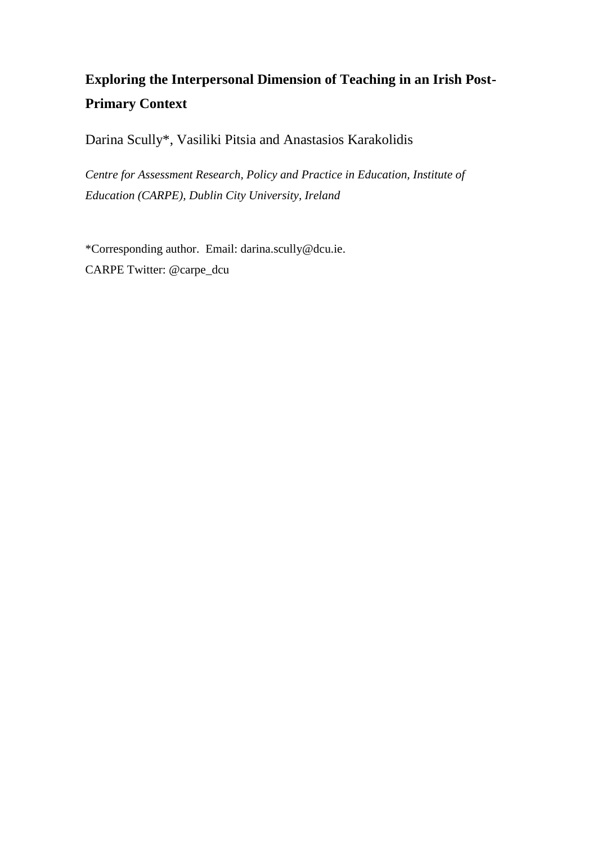# **Exploring the Interpersonal Dimension of Teaching in an Irish Post-Primary Context**

Darina Scully\*, Vasiliki Pitsia and Anastasios Karakolidis

*Centre for Assessment Research, Policy and Practice in Education, Institute of Education (CARPE), Dublin City University, Ireland* 

\*Corresponding author. Email: darina.scully@dcu.ie. CARPE Twitter: @carpe\_dcu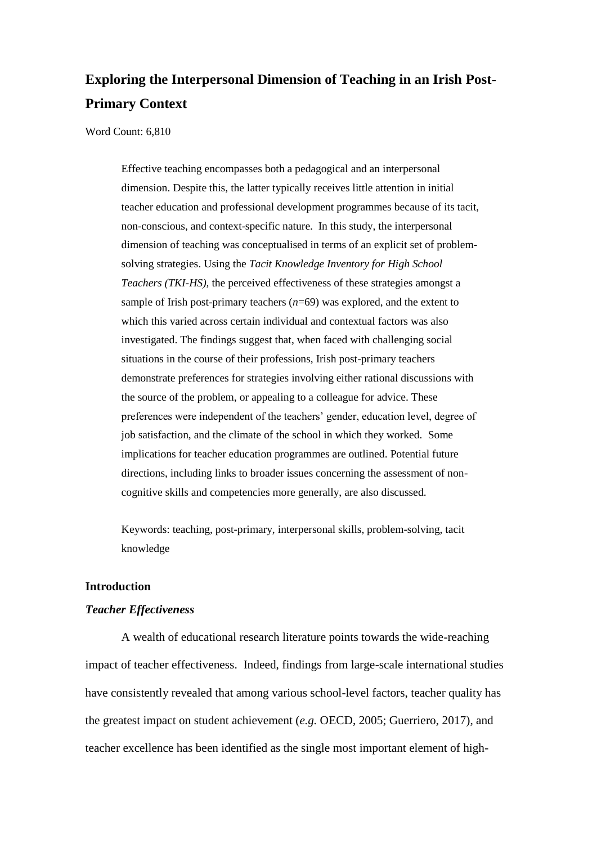# **Exploring the Interpersonal Dimension of Teaching in an Irish Post-Primary Context**

Word Count: 6,810

Effective teaching encompasses both a pedagogical and an interpersonal dimension. Despite this, the latter typically receives little attention in initial teacher education and professional development programmes because of its tacit, non-conscious, and context-specific nature. In this study, the interpersonal dimension of teaching was conceptualised in terms of an explicit set of problemsolving strategies. Using the *Tacit Knowledge Inventory for High School Teachers (TKI-HS),* the perceived effectiveness of these strategies amongst a sample of Irish post-primary teachers  $(n=69)$  was explored, and the extent to which this varied across certain individual and contextual factors was also investigated. The findings suggest that, when faced with challenging social situations in the course of their professions, Irish post-primary teachers demonstrate preferences for strategies involving either rational discussions with the source of the problem, or appealing to a colleague for advice. These preferences were independent of the teachers' gender, education level, degree of job satisfaction, and the climate of the school in which they worked. Some implications for teacher education programmes are outlined. Potential future directions, including links to broader issues concerning the assessment of noncognitive skills and competencies more generally, are also discussed.

Keywords: teaching, post-primary, interpersonal skills, problem-solving, tacit knowledge

# **Introduction**

#### *Teacher Effectiveness*

A wealth of educational research literature points towards the wide-reaching impact of teacher effectiveness. Indeed, findings from large-scale international studies have consistently revealed that among various school-level factors, teacher quality has the greatest impact on student achievement (*e.g.* OECD, 2005; Guerriero, 2017), and teacher excellence has been identified as the single most important element of high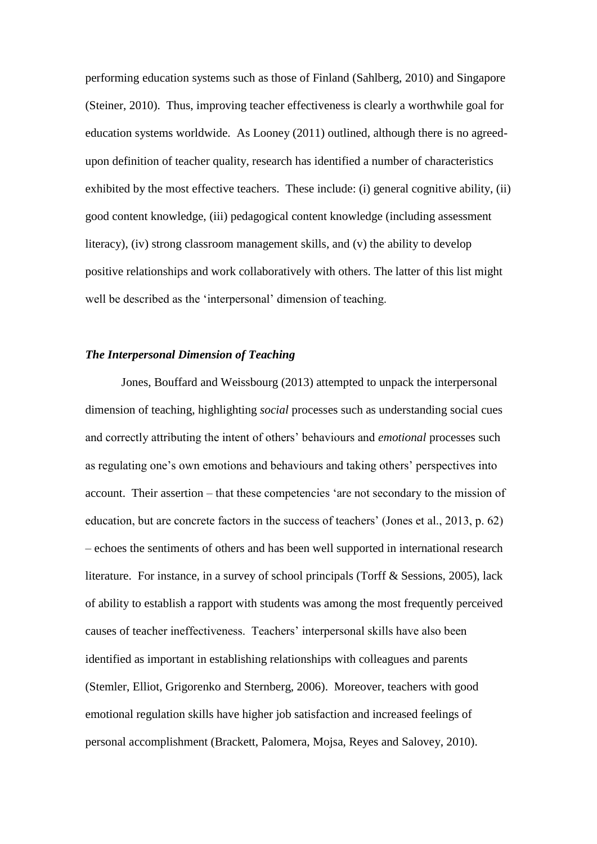performing education systems such as those of Finland (Sahlberg, 2010) and Singapore (Steiner, 2010). Thus, improving teacher effectiveness is clearly a worthwhile goal for education systems worldwide. As Looney (2011) outlined, although there is no agreedupon definition of teacher quality, research has identified a number of characteristics exhibited by the most effective teachers. These include: (i) general cognitive ability, (ii) good content knowledge, (iii) pedagogical content knowledge (including assessment literacy), (iv) strong classroom management skills, and (v) the ability to develop positive relationships and work collaboratively with others. The latter of this list might well be described as the 'interpersonal' dimension of teaching.

#### *The Interpersonal Dimension of Teaching*

Jones, Bouffard and Weissbourg (2013) attempted to unpack the interpersonal dimension of teaching, highlighting *social* processes such as understanding social cues and correctly attributing the intent of others' behaviours and *emotional* processes such as regulating one's own emotions and behaviours and taking others' perspectives into account. Their assertion – that these competencies 'are not secondary to the mission of education, but are concrete factors in the success of teachers' (Jones et al., 2013, p. 62) – echoes the sentiments of others and has been well supported in international research literature. For instance, in a survey of school principals (Torff & Sessions, 2005), lack of ability to establish a rapport with students was among the most frequently perceived causes of teacher ineffectiveness. Teachers' interpersonal skills have also been identified as important in establishing relationships with colleagues and parents (Stemler, Elliot, Grigorenko and Sternberg, 2006). Moreover, teachers with good emotional regulation skills have higher job satisfaction and increased feelings of personal accomplishment (Brackett, Palomera, Mojsa, Reyes and Salovey, 2010).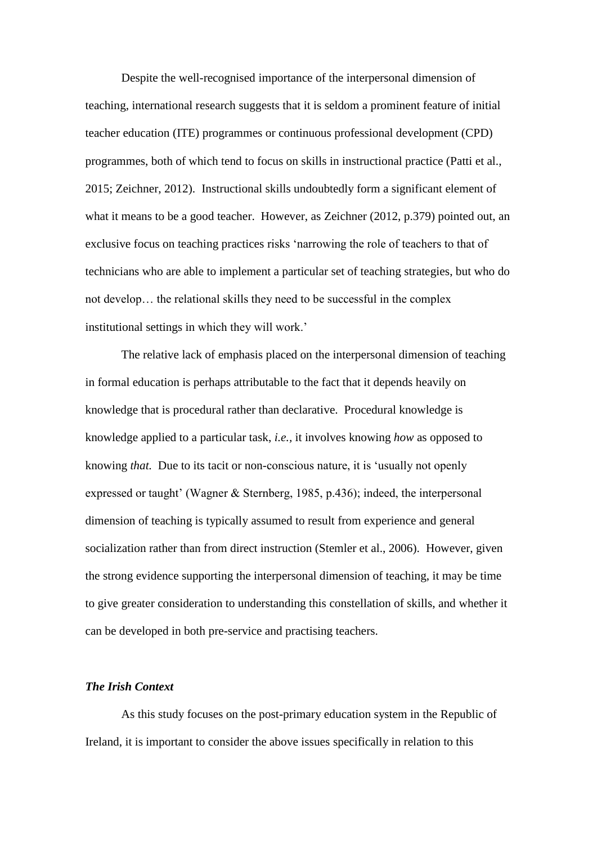Despite the well-recognised importance of the interpersonal dimension of teaching, international research suggests that it is seldom a prominent feature of initial teacher education (ITE) programmes or continuous professional development (CPD) programmes, both of which tend to focus on skills in instructional practice (Patti et al., 2015; Zeichner, 2012). Instructional skills undoubtedly form a significant element of what it means to be a good teacher. However, as Zeichner (2012, p.379) pointed out, an exclusive focus on teaching practices risks 'narrowing the role of teachers to that of technicians who are able to implement a particular set of teaching strategies, but who do not develop… the relational skills they need to be successful in the complex institutional settings in which they will work.'

The relative lack of emphasis placed on the interpersonal dimension of teaching in formal education is perhaps attributable to the fact that it depends heavily on knowledge that is procedural rather than declarative. Procedural knowledge is knowledge applied to a particular task, *i.e.,* it involves knowing *how* as opposed to knowing *that.* Due to its tacit or non-conscious nature, it is 'usually not openly expressed or taught' (Wagner & Sternberg, 1985, p.436); indeed, the interpersonal dimension of teaching is typically assumed to result from experience and general socialization rather than from direct instruction (Stemler et al., 2006). However, given the strong evidence supporting the interpersonal dimension of teaching, it may be time to give greater consideration to understanding this constellation of skills, and whether it can be developed in both pre-service and practising teachers.

#### *The Irish Context*

As this study focuses on the post-primary education system in the Republic of Ireland, it is important to consider the above issues specifically in relation to this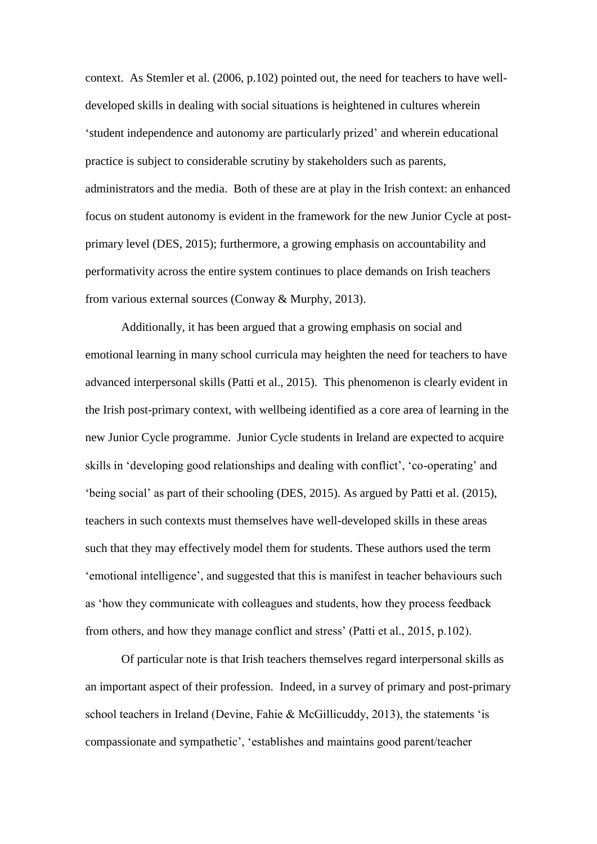context. As Stemler et al. (2006, p.102) pointed out, the need for teachers to have welldeveloped skills in dealing with social situations is heightened in cultures wherein 'student independence and autonomy are particularly prized' and wherein educational practice is subject to considerable scrutiny by stakeholders such as parents, administrators and the media. Both of these are at play in the Irish context: an enhanced focus on student autonomy is evident in the framework for the new Junior Cycle at postprimary level (DES, 2015); furthermore, a growing emphasis on accountability and performativity across the entire system continues to place demands on Irish teachers from various external sources (Conway & Murphy, 2013).

Additionally, it has been argued that a growing emphasis on social and emotional learning in many school curricula may heighten the need for teachers to have advanced interpersonal skills (Patti et al., 2015). This phenomenon is clearly evident in the Irish post-primary context, with wellbeing identified as a core area of learning in the new Junior Cycle programme. Junior Cycle students in Ireland are expected to acquire skills in 'developing good relationships and dealing with conflict', 'co-operating' and 'being social' as part of their schooling (DES, 2015). As argued by Patti et al. (2015), teachers in such contexts must themselves have well-developed skills in these areas such that they may effectively model them for students. These authors used the term 'emotional intelligence', and suggested that this is manifest in teacher behaviours such as 'how they communicate with colleagues and students, how they process feedback from others, and how they manage conflict and stress' (Patti et al., 2015, p.102).

Of particular note is that Irish teachers themselves regard interpersonal skills as an important aspect of their profession. Indeed, in a survey of primary and post-primary school teachers in Ireland (Devine, Fahie  $\&$  McGillicuddy, 2013), the statements 'is compassionate and sympathetic', 'establishes and maintains good parent/teacher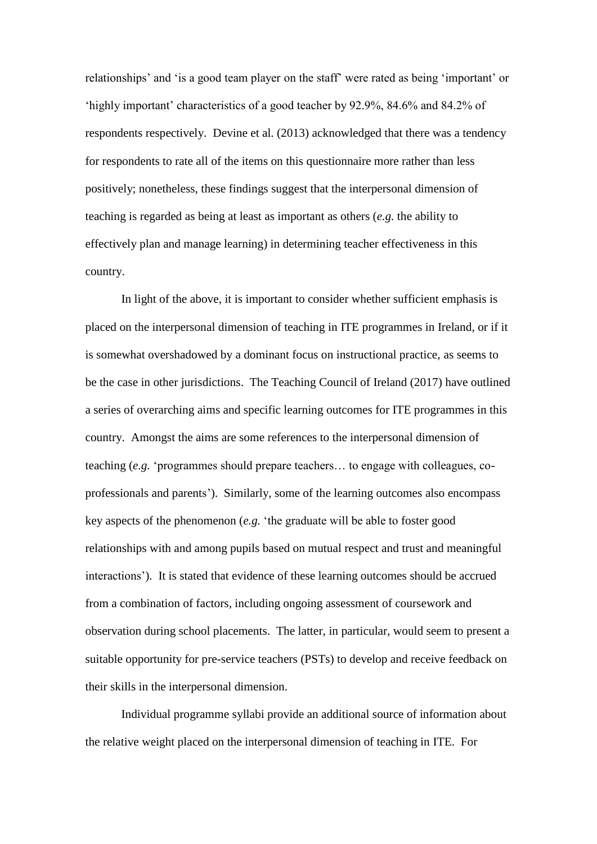relationships' and 'is a good team player on the staff' were rated as being 'important' or 'highly important' characteristics of a good teacher by 92.9%, 84.6% and 84.2% of respondents respectively. Devine et al. (2013) acknowledged that there was a tendency for respondents to rate all of the items on this questionnaire more rather than less positively; nonetheless, these findings suggest that the interpersonal dimension of teaching is regarded as being at least as important as others (*e.g.* the ability to effectively plan and manage learning) in determining teacher effectiveness in this country.

In light of the above, it is important to consider whether sufficient emphasis is placed on the interpersonal dimension of teaching in ITE programmes in Ireland, or if it is somewhat overshadowed by a dominant focus on instructional practice, as seems to be the case in other jurisdictions. The Teaching Council of Ireland (2017) have outlined a series of overarching aims and specific learning outcomes for ITE programmes in this country. Amongst the aims are some references to the interpersonal dimension of teaching (*e.g.* 'programmes should prepare teachers… to engage with colleagues, coprofessionals and parents'). Similarly, some of the learning outcomes also encompass key aspects of the phenomenon (*e.g.* 'the graduate will be able to foster good relationships with and among pupils based on mutual respect and trust and meaningful interactions'). It is stated that evidence of these learning outcomes should be accrued from a combination of factors, including ongoing assessment of coursework and observation during school placements. The latter, in particular, would seem to present a suitable opportunity for pre-service teachers (PSTs) to develop and receive feedback on their skills in the interpersonal dimension.

Individual programme syllabi provide an additional source of information about the relative weight placed on the interpersonal dimension of teaching in ITE. For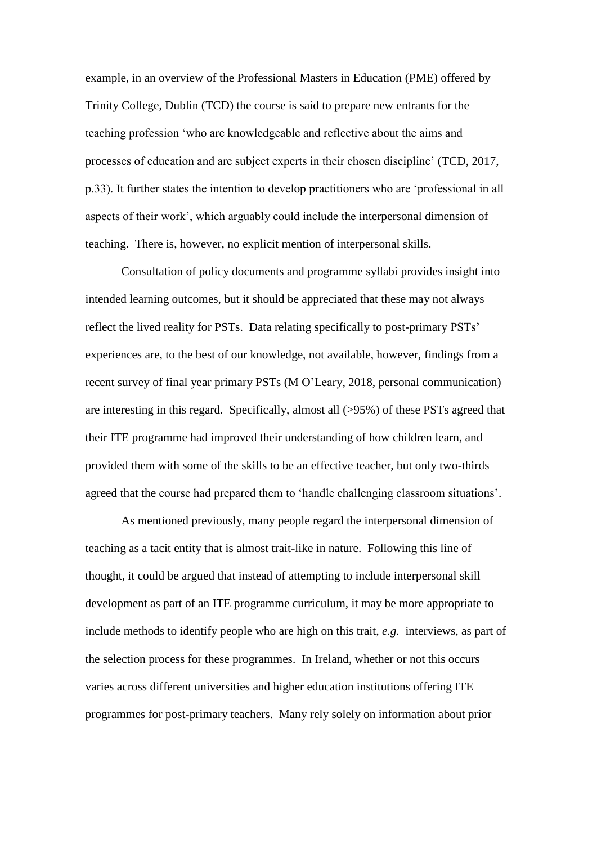example, in an overview of the Professional Masters in Education (PME) offered by Trinity College, Dublin (TCD) the course is said to prepare new entrants for the teaching profession 'who are knowledgeable and reflective about the aims and processes of education and are subject experts in their chosen discipline' (TCD, 2017, p.33). It further states the intention to develop practitioners who are 'professional in all aspects of their work', which arguably could include the interpersonal dimension of teaching. There is, however, no explicit mention of interpersonal skills.

Consultation of policy documents and programme syllabi provides insight into intended learning outcomes, but it should be appreciated that these may not always reflect the lived reality for PSTs. Data relating specifically to post-primary PSTs' experiences are, to the best of our knowledge, not available, however, findings from a recent survey of final year primary PSTs (M O'Leary, 2018, personal communication) are interesting in this regard. Specifically, almost all (>95%) of these PSTs agreed that their ITE programme had improved their understanding of how children learn, and provided them with some of the skills to be an effective teacher, but only two-thirds agreed that the course had prepared them to 'handle challenging classroom situations'.

As mentioned previously, many people regard the interpersonal dimension of teaching as a tacit entity that is almost trait-like in nature. Following this line of thought, it could be argued that instead of attempting to include interpersonal skill development as part of an ITE programme curriculum, it may be more appropriate to include methods to identify people who are high on this trait, *e.g.* interviews, as part of the selection process for these programmes. In Ireland, whether or not this occurs varies across different universities and higher education institutions offering ITE programmes for post-primary teachers. Many rely solely on information about prior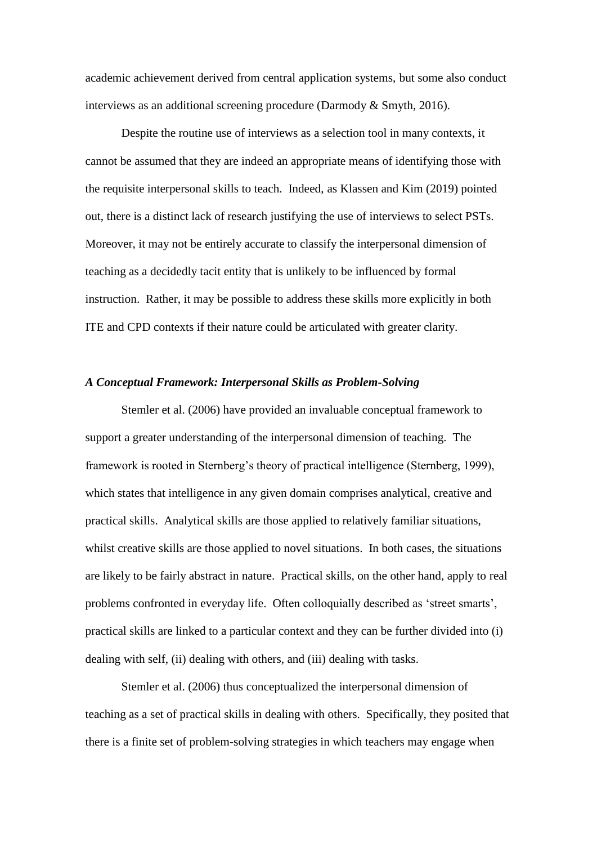academic achievement derived from central application systems, but some also conduct interviews as an additional screening procedure (Darmody & Smyth, 2016).

Despite the routine use of interviews as a selection tool in many contexts, it cannot be assumed that they are indeed an appropriate means of identifying those with the requisite interpersonal skills to teach. Indeed, as Klassen and Kim (2019) pointed out, there is a distinct lack of research justifying the use of interviews to select PSTs. Moreover, it may not be entirely accurate to classify the interpersonal dimension of teaching as a decidedly tacit entity that is unlikely to be influenced by formal instruction. Rather, it may be possible to address these skills more explicitly in both ITE and CPD contexts if their nature could be articulated with greater clarity.

# *A Conceptual Framework: Interpersonal Skills as Problem-Solving*

Stemler et al. (2006) have provided an invaluable conceptual framework to support a greater understanding of the interpersonal dimension of teaching. The framework is rooted in Sternberg's theory of practical intelligence (Sternberg, 1999), which states that intelligence in any given domain comprises analytical, creative and practical skills. Analytical skills are those applied to relatively familiar situations, whilst creative skills are those applied to novel situations. In both cases, the situations are likely to be fairly abstract in nature. Practical skills, on the other hand, apply to real problems confronted in everyday life. Often colloquially described as 'street smarts', practical skills are linked to a particular context and they can be further divided into (i) dealing with self, (ii) dealing with others, and (iii) dealing with tasks.

Stemler et al. (2006) thus conceptualized the interpersonal dimension of teaching as a set of practical skills in dealing with others. Specifically, they posited that there is a finite set of problem-solving strategies in which teachers may engage when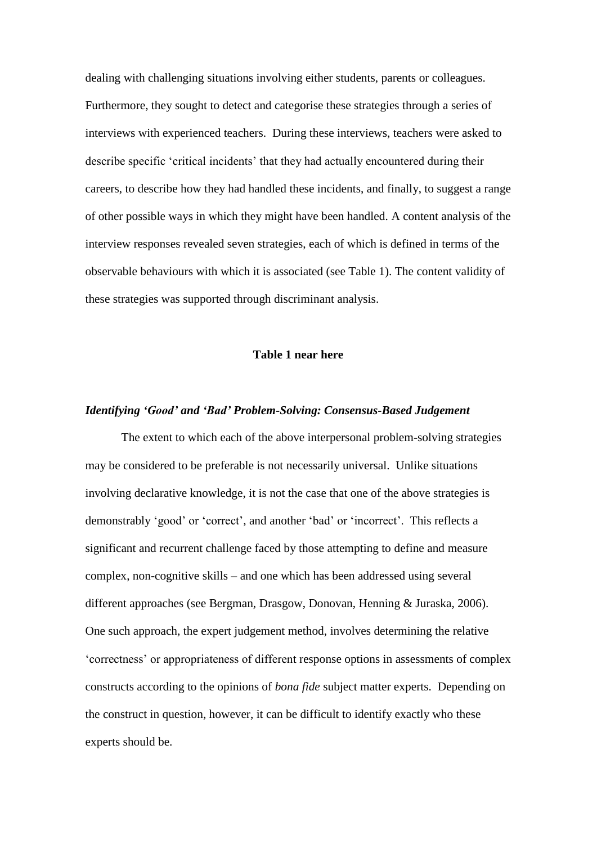dealing with challenging situations involving either students, parents or colleagues. Furthermore, they sought to detect and categorise these strategies through a series of interviews with experienced teachers. During these interviews, teachers were asked to describe specific 'critical incidents' that they had actually encountered during their careers, to describe how they had handled these incidents, and finally, to suggest a range of other possible ways in which they might have been handled. A content analysis of the interview responses revealed seven strategies, each of which is defined in terms of the observable behaviours with which it is associated (see Table 1). The content validity of these strategies was supported through discriminant analysis.

#### **Table 1 near here**

#### *Identifying 'Good' and 'Bad' Problem-Solving: Consensus-Based Judgement*

The extent to which each of the above interpersonal problem-solving strategies may be considered to be preferable is not necessarily universal. Unlike situations involving declarative knowledge, it is not the case that one of the above strategies is demonstrably 'good' or 'correct', and another 'bad' or 'incorrect'. This reflects a significant and recurrent challenge faced by those attempting to define and measure complex, non-cognitive skills – and one which has been addressed using several different approaches (see Bergman, Drasgow, Donovan, Henning & Juraska, 2006). One such approach, the expert judgement method, involves determining the relative 'correctness' or appropriateness of different response options in assessments of complex constructs according to the opinions of *bona fide* subject matter experts. Depending on the construct in question, however, it can be difficult to identify exactly who these experts should be.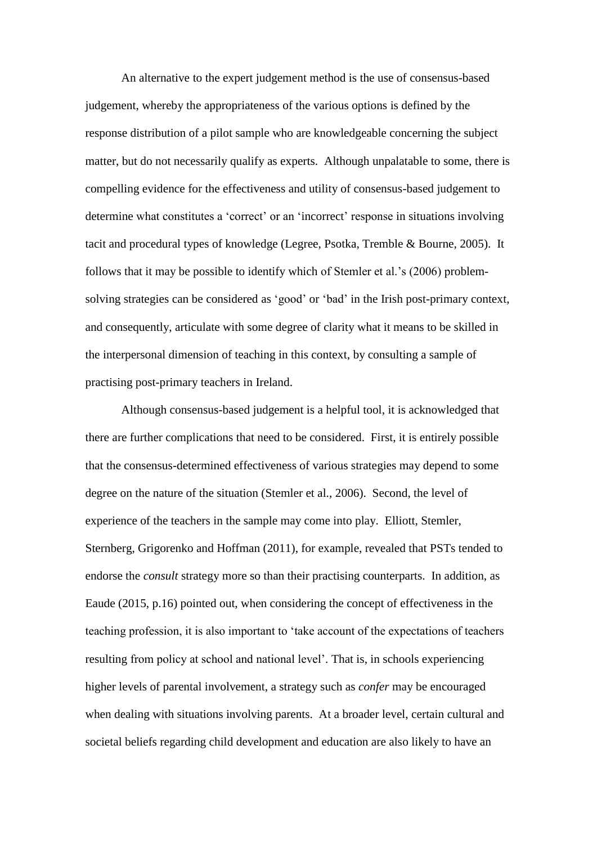An alternative to the expert judgement method is the use of consensus-based judgement, whereby the appropriateness of the various options is defined by the response distribution of a pilot sample who are knowledgeable concerning the subject matter, but do not necessarily qualify as experts. Although unpalatable to some, there is compelling evidence for the effectiveness and utility of consensus-based judgement to determine what constitutes a 'correct' or an 'incorrect' response in situations involving tacit and procedural types of knowledge (Legree, Psotka, Tremble & Bourne, 2005). It follows that it may be possible to identify which of Stemler et al.'s (2006) problemsolving strategies can be considered as 'good' or 'bad' in the Irish post-primary context, and consequently, articulate with some degree of clarity what it means to be skilled in the interpersonal dimension of teaching in this context, by consulting a sample of practising post-primary teachers in Ireland.

Although consensus-based judgement is a helpful tool, it is acknowledged that there are further complications that need to be considered. First, it is entirely possible that the consensus-determined effectiveness of various strategies may depend to some degree on the nature of the situation (Stemler et al., 2006). Second, the level of experience of the teachers in the sample may come into play. Elliott, Stemler, Sternberg, Grigorenko and Hoffman (2011), for example, revealed that PSTs tended to endorse the *consult* strategy more so than their practising counterparts. In addition, as Eaude (2015, p.16) pointed out, when considering the concept of effectiveness in the teaching profession, it is also important to 'take account of the expectations of teachers resulting from policy at school and national level'. That is, in schools experiencing higher levels of parental involvement, a strategy such as *confer* may be encouraged when dealing with situations involving parents. At a broader level, certain cultural and societal beliefs regarding child development and education are also likely to have an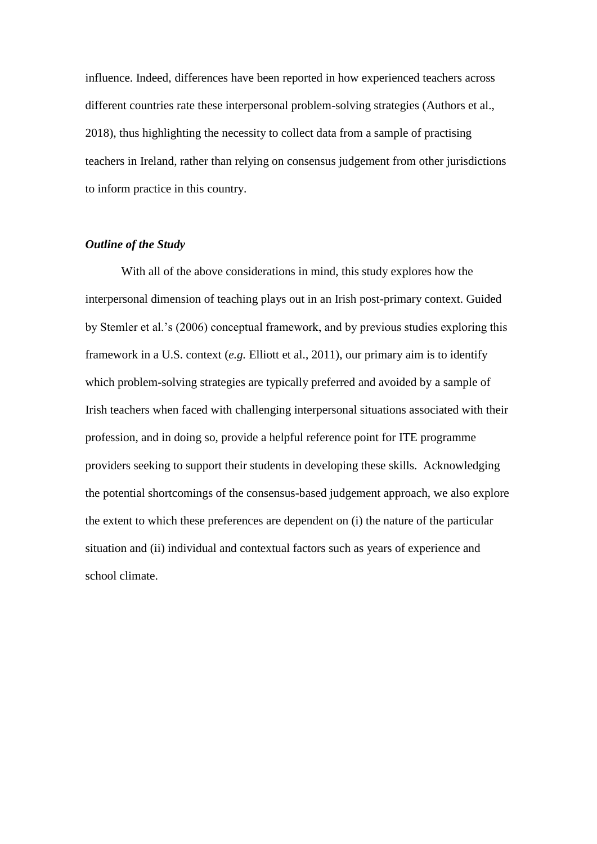influence. Indeed, differences have been reported in how experienced teachers across different countries rate these interpersonal problem-solving strategies (Authors et al., 2018), thus highlighting the necessity to collect data from a sample of practising teachers in Ireland, rather than relying on consensus judgement from other jurisdictions to inform practice in this country.

# *Outline of the Study*

With all of the above considerations in mind, this study explores how the interpersonal dimension of teaching plays out in an Irish post-primary context. Guided by Stemler et al.'s (2006) conceptual framework, and by previous studies exploring this framework in a U.S. context (*e.g.* Elliott et al., 2011), our primary aim is to identify which problem-solving strategies are typically preferred and avoided by a sample of Irish teachers when faced with challenging interpersonal situations associated with their profession, and in doing so, provide a helpful reference point for ITE programme providers seeking to support their students in developing these skills. Acknowledging the potential shortcomings of the consensus-based judgement approach, we also explore the extent to which these preferences are dependent on (i) the nature of the particular situation and (ii) individual and contextual factors such as years of experience and school climate.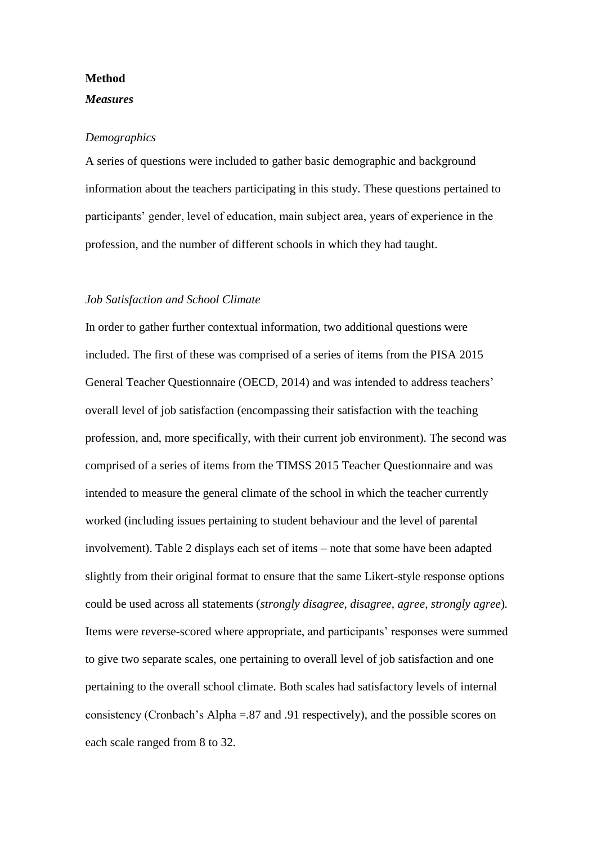# **Method**

# *Measures*

#### *Demographics*

A series of questions were included to gather basic demographic and background information about the teachers participating in this study. These questions pertained to participants' gender, level of education, main subject area, years of experience in the profession, and the number of different schools in which they had taught.

#### *Job Satisfaction and School Climate*

In order to gather further contextual information, two additional questions were included. The first of these was comprised of a series of items from the PISA 2015 General Teacher Questionnaire (OECD, 2014) and was intended to address teachers' overall level of job satisfaction (encompassing their satisfaction with the teaching profession, and, more specifically, with their current job environment). The second was comprised of a series of items from the TIMSS 2015 Teacher Questionnaire and was intended to measure the general climate of the school in which the teacher currently worked (including issues pertaining to student behaviour and the level of parental involvement). Table 2 displays each set of items – note that some have been adapted slightly from their original format to ensure that the same Likert-style response options could be used across all statements (*strongly disagree, disagree, agree, strongly agree*)*.*  Items were reverse-scored where appropriate, and participants' responses were summed to give two separate scales, one pertaining to overall level of job satisfaction and one pertaining to the overall school climate. Both scales had satisfactory levels of internal consistency (Cronbach's Alpha =.87 and .91 respectively), and the possible scores on each scale ranged from 8 to 32.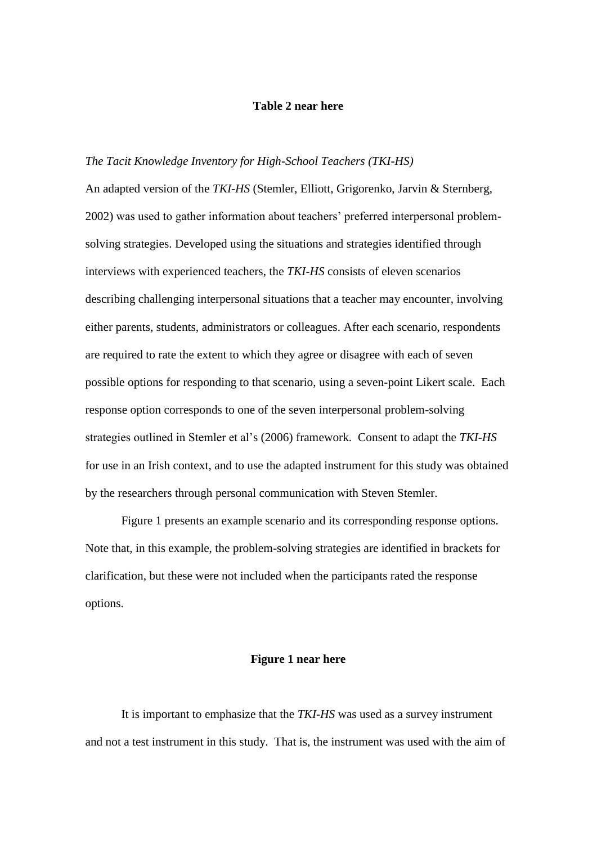# **Table 2 near here**

# *The Tacit Knowledge Inventory for High-School Teachers (TKI-HS)*

An adapted version of the *TKI-HS* (Stemler, Elliott, Grigorenko, Jarvin & Sternberg, 2002) was used to gather information about teachers' preferred interpersonal problemsolving strategies. Developed using the situations and strategies identified through interviews with experienced teachers, the *TKI-HS* consists of eleven scenarios describing challenging interpersonal situations that a teacher may encounter, involving either parents, students, administrators or colleagues. After each scenario, respondents are required to rate the extent to which they agree or disagree with each of seven possible options for responding to that scenario, using a seven-point Likert scale. Each response option corresponds to one of the seven interpersonal problem-solving strategies outlined in Stemler et al's (2006) framework. Consent to adapt the *TKI-HS*  for use in an Irish context, and to use the adapted instrument for this study was obtained by the researchers through personal communication with Steven Stemler.

Figure 1 presents an example scenario and its corresponding response options. Note that, in this example, the problem-solving strategies are identified in brackets for clarification, but these were not included when the participants rated the response options.

#### **Figure 1 near here**

It is important to emphasize that the *TKI-HS* was used as a survey instrument and not a test instrument in this study. That is, the instrument was used with the aim of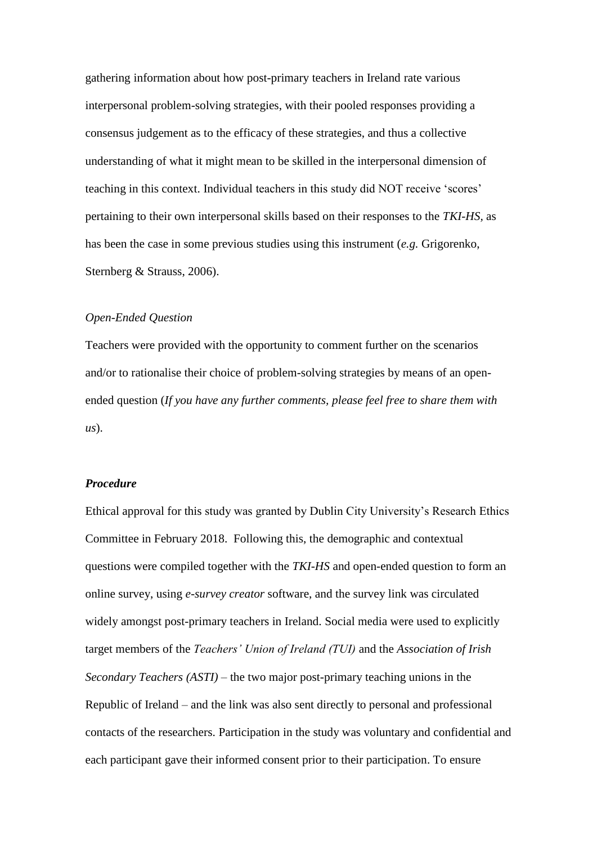gathering information about how post-primary teachers in Ireland rate various interpersonal problem-solving strategies, with their pooled responses providing a consensus judgement as to the efficacy of these strategies, and thus a collective understanding of what it might mean to be skilled in the interpersonal dimension of teaching in this context. Individual teachers in this study did NOT receive 'scores' pertaining to their own interpersonal skills based on their responses to the *TKI-HS,* as has been the case in some previous studies using this instrument (*e.g.* Grigorenko, Sternberg & Strauss, 2006).

#### *Open-Ended Question*

Teachers were provided with the opportunity to comment further on the scenarios and/or to rationalise their choice of problem-solving strategies by means of an openended question (*If you have any further comments, please feel free to share them with us*).

#### *Procedure*

Ethical approval for this study was granted by Dublin City University's Research Ethics Committee in February 2018. Following this, the demographic and contextual questions were compiled together with the *TKI-HS* and open-ended question to form an online survey, using *e-survey creator* software, and the survey link was circulated widely amongst post-primary teachers in Ireland. Social media were used to explicitly target members of the *Teachers' Union of Ireland (TUI)* and the *Association of Irish Secondary Teachers (ASTI)* – the two major post-primary teaching unions in the Republic of Ireland – and the link was also sent directly to personal and professional contacts of the researchers. Participation in the study was voluntary and confidential and each participant gave their informed consent prior to their participation. To ensure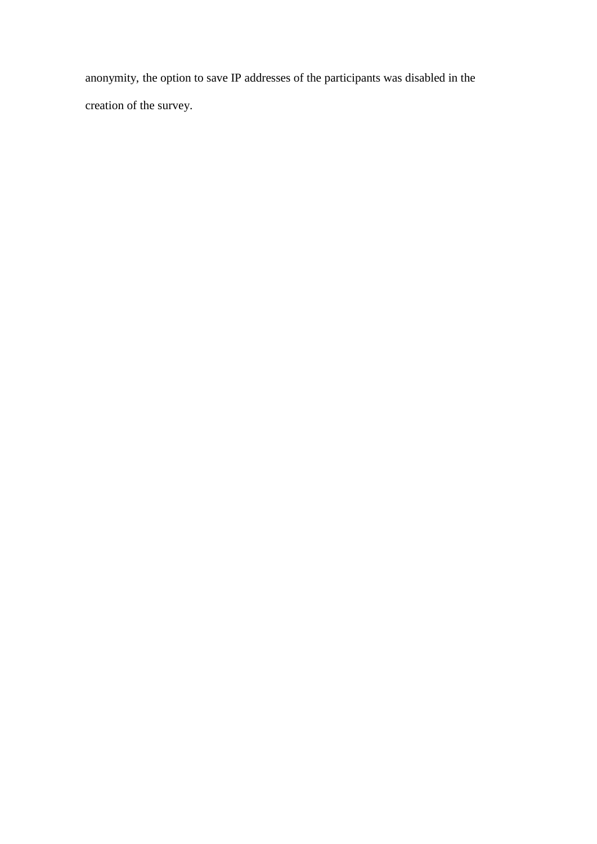anonymity, the option to save IP addresses of the participants was disabled in the creation of the survey.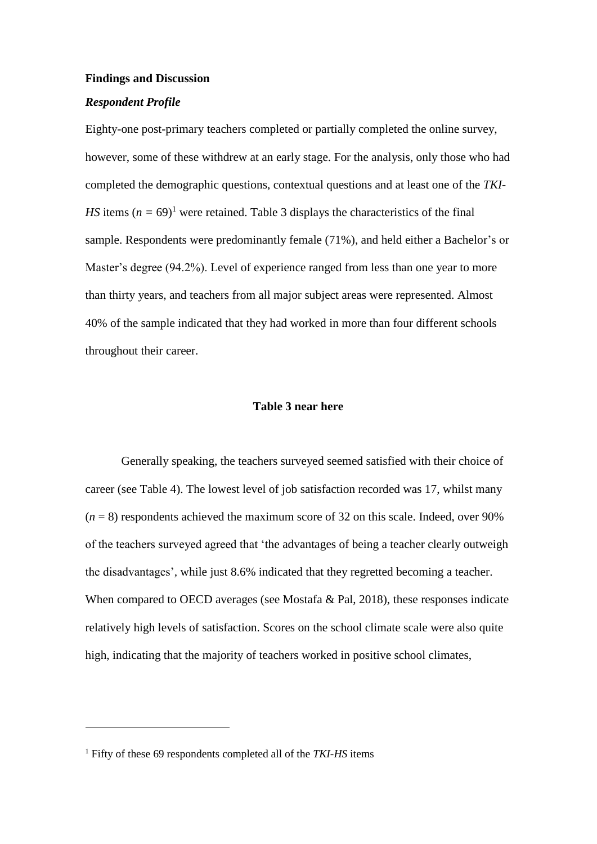#### **Findings and Discussion**

# *Respondent Profile*

Eighty-one post-primary teachers completed or partially completed the online survey, however, some of these withdrew at an early stage. For the analysis, only those who had completed the demographic questions, contextual questions and at least one of the *TKI-HS* items  $(n = 69)^1$  were retained. Table 3 displays the characteristics of the final sample. Respondents were predominantly female (71%), and held either a Bachelor's or Master's degree (94.2%). Level of experience ranged from less than one year to more than thirty years, and teachers from all major subject areas were represented. Almost 40% of the sample indicated that they had worked in more than four different schools throughout their career.

# **Table 3 near here**

Generally speaking, the teachers surveyed seemed satisfied with their choice of career (see Table 4). The lowest level of job satisfaction recorded was 17, whilst many  $(n = 8)$  respondents achieved the maximum score of 32 on this scale. Indeed, over 90% of the teachers surveyed agreed that 'the advantages of being a teacher clearly outweigh the disadvantages'*,* while just 8.6% indicated that they regretted becoming a teacher. When compared to OECD averages (see Mostafa & Pal, 2018), these responses indicate relatively high levels of satisfaction. Scores on the school climate scale were also quite high, indicating that the majority of teachers worked in positive school climates,

<u>.</u>

<sup>1</sup> Fifty of these 69 respondents completed all of the *TKI-HS* items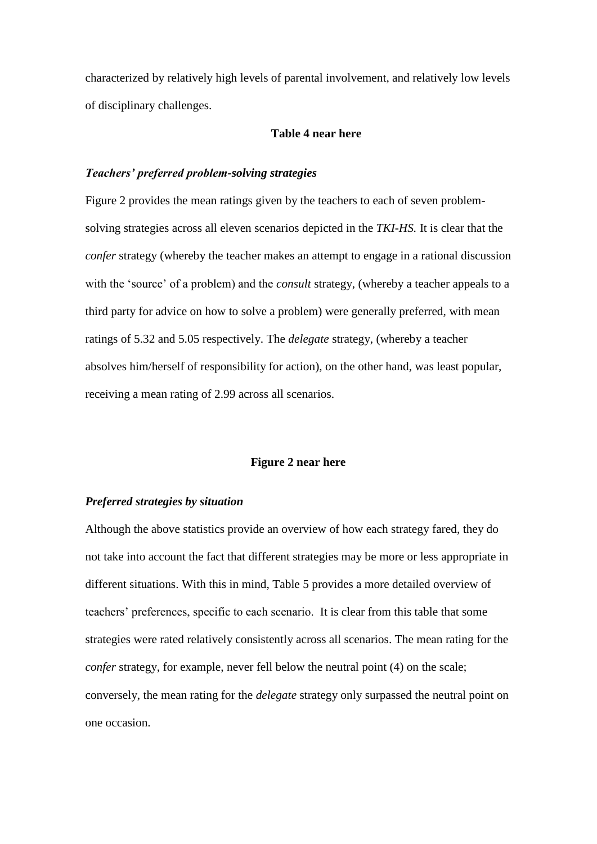characterized by relatively high levels of parental involvement, and relatively low levels of disciplinary challenges.

#### **Table 4 near here**

# *Teachers' preferred problem-solving strategies*

Figure 2 provides the mean ratings given by the teachers to each of seven problemsolving strategies across all eleven scenarios depicted in the *TKI-HS.* It is clear that the *confer* strategy (whereby the teacher makes an attempt to engage in a rational discussion with the 'source' of a problem) and the *consult* strategy, (whereby a teacher appeals to a third party for advice on how to solve a problem) were generally preferred, with mean ratings of 5.32 and 5.05 respectively. The *delegate* strategy, (whereby a teacher absolves him/herself of responsibility for action), on the other hand, was least popular, receiving a mean rating of 2.99 across all scenarios.

#### **Figure 2 near here**

# *Preferred strategies by situation*

Although the above statistics provide an overview of how each strategy fared, they do not take into account the fact that different strategies may be more or less appropriate in different situations. With this in mind, Table 5 provides a more detailed overview of teachers' preferences, specific to each scenario. It is clear from this table that some strategies were rated relatively consistently across all scenarios. The mean rating for the *confer* strategy, for example, never fell below the neutral point (4) on the scale; conversely, the mean rating for the *delegate* strategy only surpassed the neutral point on one occasion.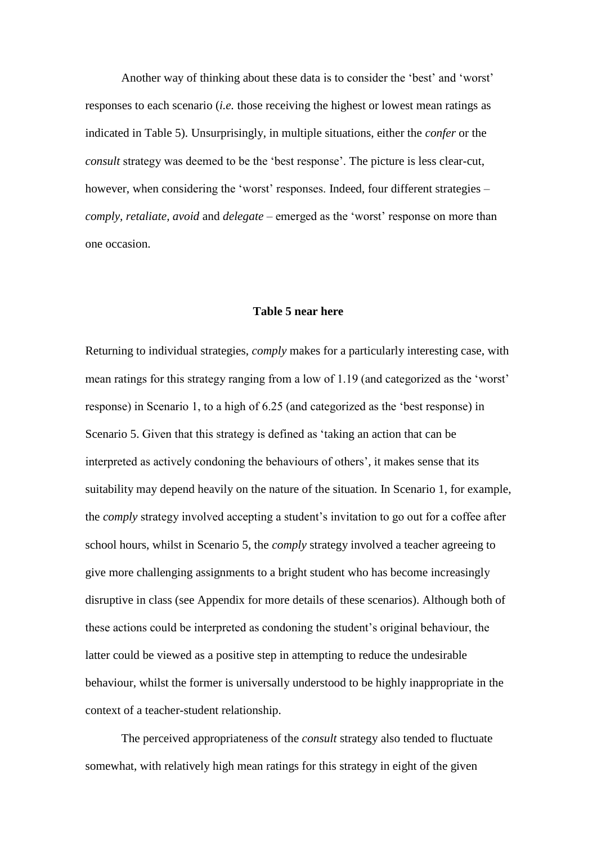Another way of thinking about these data is to consider the 'best' and 'worst' responses to each scenario (*i.e.* those receiving the highest or lowest mean ratings as indicated in Table 5). Unsurprisingly, in multiple situations, either the *confer* or the *consult* strategy was deemed to be the 'best response'. The picture is less clear-cut, however, when considering the 'worst' responses. Indeed, four different strategies – *comply, retaliate, avoid* and *delegate –* emerged as the 'worst' response on more than one occasion.

#### **Table 5 near here**

Returning to individual strategies, *comply* makes for a particularly interesting case, with mean ratings for this strategy ranging from a low of 1.19 (and categorized as the 'worst' response) in Scenario 1, to a high of 6.25 (and categorized as the 'best response) in Scenario 5. Given that this strategy is defined as 'taking an action that can be interpreted as actively condoning the behaviours of others'*,* it makes sense that its suitability may depend heavily on the nature of the situation. In Scenario 1, for example, the *comply* strategy involved accepting a student's invitation to go out for a coffee after school hours, whilst in Scenario 5, the *comply* strategy involved a teacher agreeing to give more challenging assignments to a bright student who has become increasingly disruptive in class (see Appendix for more details of these scenarios). Although both of these actions could be interpreted as condoning the student's original behaviour, the latter could be viewed as a positive step in attempting to reduce the undesirable behaviour, whilst the former is universally understood to be highly inappropriate in the context of a teacher-student relationship.

The perceived appropriateness of the *consult* strategy also tended to fluctuate somewhat, with relatively high mean ratings for this strategy in eight of the given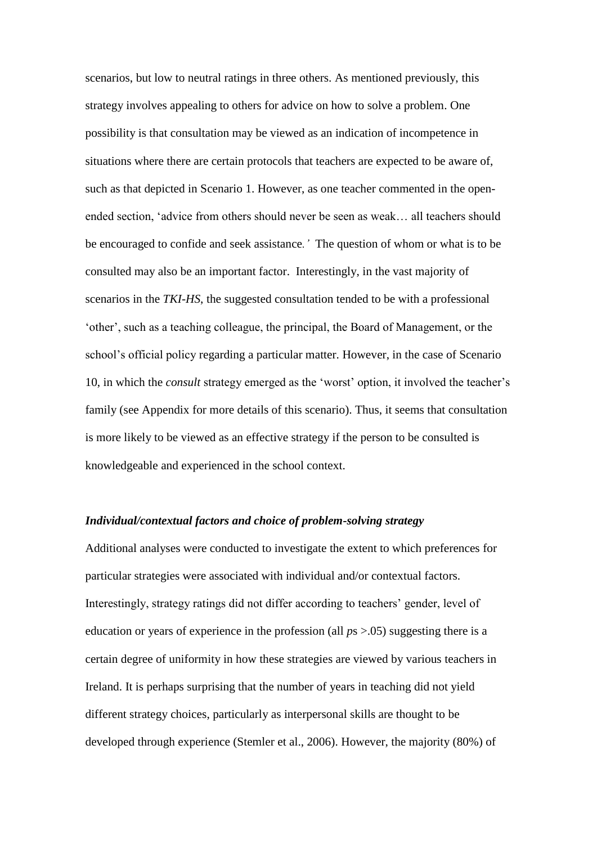scenarios, but low to neutral ratings in three others. As mentioned previously, this strategy involves appealing to others for advice on how to solve a problem. One possibility is that consultation may be viewed as an indication of incompetence in situations where there are certain protocols that teachers are expected to be aware of, such as that depicted in Scenario 1. However, as one teacher commented in the openended section, 'advice from others should never be seen as weak… all teachers should be encouraged to confide and seek assistance*.'* The question of whom or what is to be consulted may also be an important factor. Interestingly, in the vast majority of scenarios in the *TKI-HS*, the suggested consultation tended to be with a professional 'other', such as a teaching colleague, the principal, the Board of Management, or the school's official policy regarding a particular matter. However, in the case of Scenario 10, in which the *consult* strategy emerged as the 'worst' option, it involved the teacher's family (see Appendix for more details of this scenario). Thus, it seems that consultation is more likely to be viewed as an effective strategy if the person to be consulted is knowledgeable and experienced in the school context.

# *Individual/contextual factors and choice of problem-solving strategy*

Additional analyses were conducted to investigate the extent to which preferences for particular strategies were associated with individual and/or contextual factors. Interestingly, strategy ratings did not differ according to teachers' gender, level of education or years of experience in the profession (all *p*s >.05) suggesting there is a certain degree of uniformity in how these strategies are viewed by various teachers in Ireland. It is perhaps surprising that the number of years in teaching did not yield different strategy choices, particularly as interpersonal skills are thought to be developed through experience (Stemler et al., 2006). However, the majority (80%) of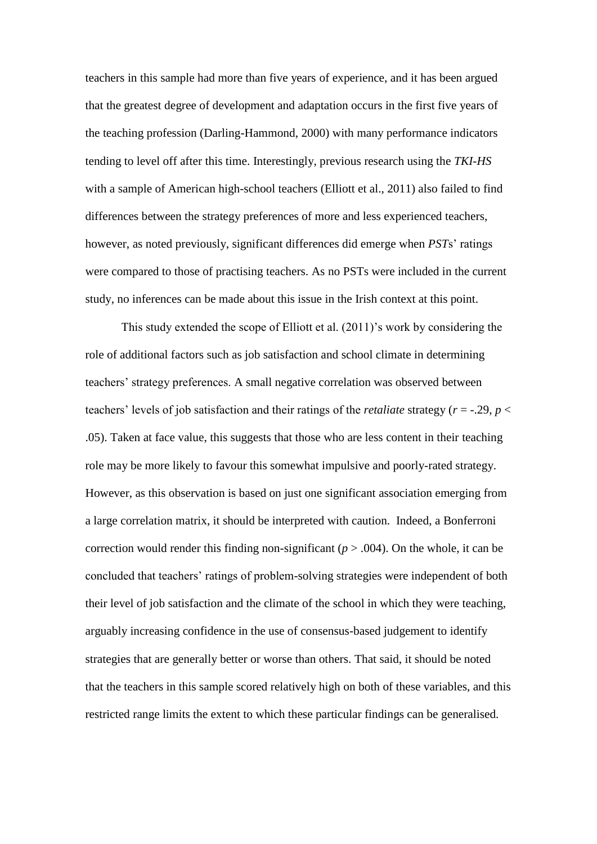teachers in this sample had more than five years of experience, and it has been argued that the greatest degree of development and adaptation occurs in the first five years of the teaching profession (Darling-Hammond, 2000) with many performance indicators tending to level off after this time. Interestingly, previous research using the *TKI-HS* with a sample of American high-school teachers (Elliott et al., 2011) also failed to find differences between the strategy preferences of more and less experienced teachers, however, as noted previously, significant differences did emerge when *PST*s' ratings were compared to those of practising teachers. As no PSTs were included in the current study, no inferences can be made about this issue in the Irish context at this point.

This study extended the scope of Elliott et al. (2011)'s work by considering the role of additional factors such as job satisfaction and school climate in determining teachers' strategy preferences. A small negative correlation was observed between teachers' levels of job satisfaction and their ratings of the *retaliate* strategy (*r* = -.29, *p* < .05). Taken at face value, this suggests that those who are less content in their teaching role may be more likely to favour this somewhat impulsive and poorly-rated strategy. However, as this observation is based on just one significant association emerging from a large correlation matrix, it should be interpreted with caution. Indeed, a Bonferroni correction would render this finding non-significant ( $p > .004$ ). On the whole, it can be concluded that teachers' ratings of problem-solving strategies were independent of both their level of job satisfaction and the climate of the school in which they were teaching, arguably increasing confidence in the use of consensus-based judgement to identify strategies that are generally better or worse than others. That said, it should be noted that the teachers in this sample scored relatively high on both of these variables, and this restricted range limits the extent to which these particular findings can be generalised.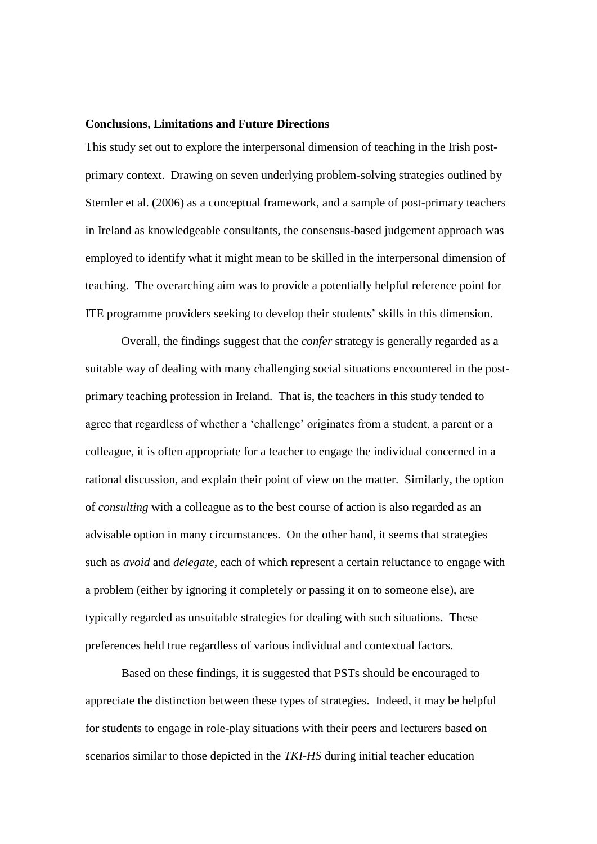#### **Conclusions, Limitations and Future Directions**

This study set out to explore the interpersonal dimension of teaching in the Irish postprimary context. Drawing on seven underlying problem-solving strategies outlined by Stemler et al. (2006) as a conceptual framework, and a sample of post-primary teachers in Ireland as knowledgeable consultants, the consensus-based judgement approach was employed to identify what it might mean to be skilled in the interpersonal dimension of teaching. The overarching aim was to provide a potentially helpful reference point for ITE programme providers seeking to develop their students' skills in this dimension.

Overall, the findings suggest that the *confer* strategy is generally regarded as a suitable way of dealing with many challenging social situations encountered in the postprimary teaching profession in Ireland. That is, the teachers in this study tended to agree that regardless of whether a 'challenge' originates from a student, a parent or a colleague, it is often appropriate for a teacher to engage the individual concerned in a rational discussion, and explain their point of view on the matter. Similarly, the option of *consulting* with a colleague as to the best course of action is also regarded as an advisable option in many circumstances. On the other hand, it seems that strategies such as *avoid* and *delegate,* each of which represent a certain reluctance to engage with a problem (either by ignoring it completely or passing it on to someone else), are typically regarded as unsuitable strategies for dealing with such situations. These preferences held true regardless of various individual and contextual factors.

Based on these findings, it is suggested that PSTs should be encouraged to appreciate the distinction between these types of strategies. Indeed, it may be helpful for students to engage in role-play situations with their peers and lecturers based on scenarios similar to those depicted in the *TKI-HS* during initial teacher education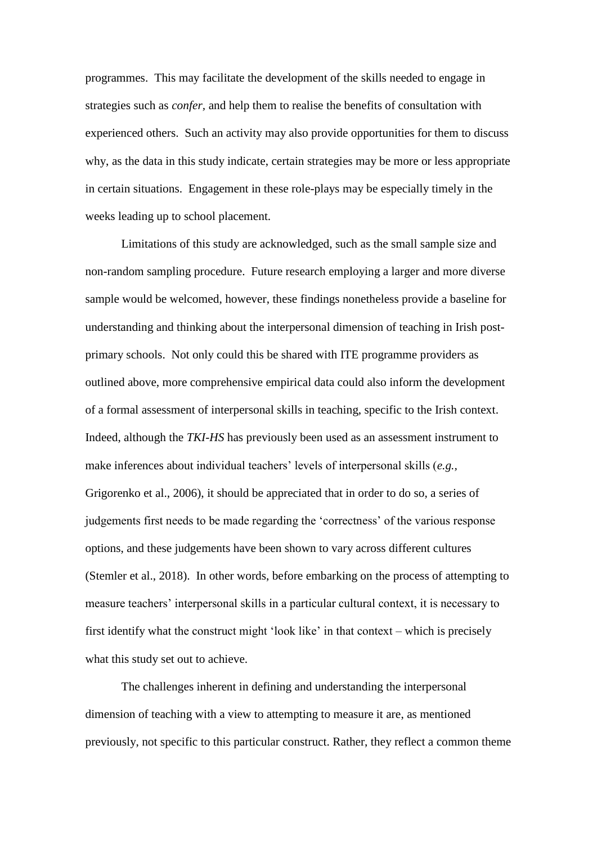programmes. This may facilitate the development of the skills needed to engage in strategies such as *confer,* and help them to realise the benefits of consultation with experienced others. Such an activity may also provide opportunities for them to discuss why, as the data in this study indicate, certain strategies may be more or less appropriate in certain situations. Engagement in these role-plays may be especially timely in the weeks leading up to school placement.

Limitations of this study are acknowledged, such as the small sample size and non-random sampling procedure. Future research employing a larger and more diverse sample would be welcomed, however, these findings nonetheless provide a baseline for understanding and thinking about the interpersonal dimension of teaching in Irish postprimary schools. Not only could this be shared with ITE programme providers as outlined above, more comprehensive empirical data could also inform the development of a formal assessment of interpersonal skills in teaching, specific to the Irish context. Indeed, although the *TKI-HS* has previously been used as an assessment instrument to make inferences about individual teachers' levels of interpersonal skills (*e.g.,*  Grigorenko et al., 2006), it should be appreciated that in order to do so, a series of judgements first needs to be made regarding the 'correctness' of the various response options, and these judgements have been shown to vary across different cultures (Stemler et al., 2018). In other words, before embarking on the process of attempting to measure teachers' interpersonal skills in a particular cultural context, it is necessary to first identify what the construct might 'look like' in that context – which is precisely what this study set out to achieve.

The challenges inherent in defining and understanding the interpersonal dimension of teaching with a view to attempting to measure it are, as mentioned previously, not specific to this particular construct. Rather, they reflect a common theme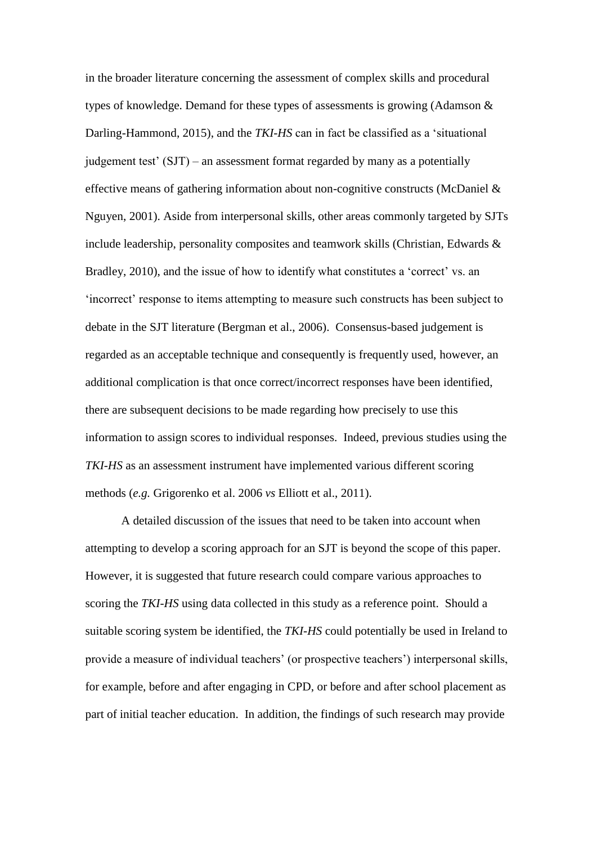in the broader literature concerning the assessment of complex skills and procedural types of knowledge. Demand for these types of assessments is growing (Adamson & Darling-Hammond, 2015), and the *TKI-HS* can in fact be classified as a 'situational judgement test' (SJT) – an assessment format regarded by many as a potentially effective means of gathering information about non-cognitive constructs (McDaniel & Nguyen, 2001). Aside from interpersonal skills, other areas commonly targeted by SJTs include leadership, personality composites and teamwork skills (Christian, Edwards & Bradley, 2010), and the issue of how to identify what constitutes a 'correct' vs. an 'incorrect' response to items attempting to measure such constructs has been subject to debate in the SJT literature (Bergman et al., 2006). Consensus-based judgement is regarded as an acceptable technique and consequently is frequently used, however, an additional complication is that once correct/incorrect responses have been identified, there are subsequent decisions to be made regarding how precisely to use this information to assign scores to individual responses. Indeed, previous studies using the *TKI-HS* as an assessment instrument have implemented various different scoring methods (*e.g.* Grigorenko et al. 2006 *vs* Elliott et al., 2011).

A detailed discussion of the issues that need to be taken into account when attempting to develop a scoring approach for an SJT is beyond the scope of this paper. However, it is suggested that future research could compare various approaches to scoring the *TKI-HS* using data collected in this study as a reference point. Should a suitable scoring system be identified, the *TKI-HS* could potentially be used in Ireland to provide a measure of individual teachers' (or prospective teachers') interpersonal skills, for example, before and after engaging in CPD, or before and after school placement as part of initial teacher education. In addition, the findings of such research may provide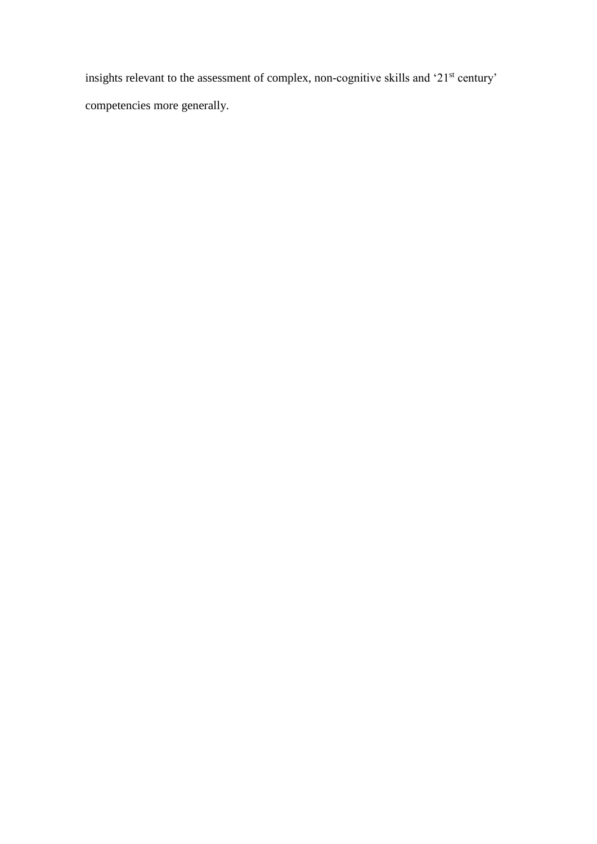insights relevant to the assessment of complex, non-cognitive skills and '21<sup>st</sup> century' competencies more generally.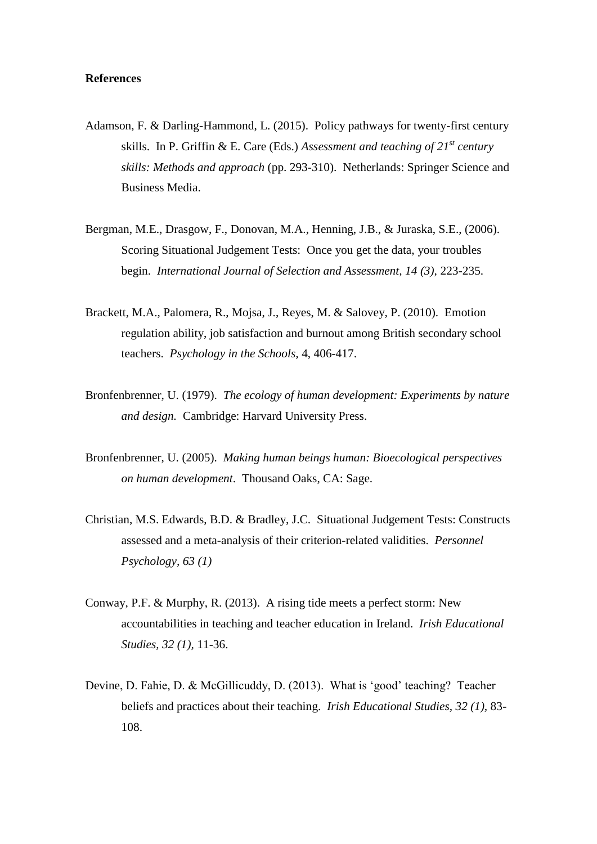# **References**

- Adamson, F. & Darling-Hammond, L. (2015). Policy pathways for twenty-first century skills. In P. Griffin & E. Care (Eds.) *Assessment and teaching of 21st century skills: Methods and approach* (pp. 293-310). Netherlands: Springer Science and Business Media.
- Bergman, M.E., Drasgow, F., Donovan, M.A., Henning, J.B., & Juraska, S.E., (2006). Scoring Situational Judgement Tests: Once you get the data, your troubles begin. *International Journal of Selection and Assessment, 14 (3),* 223-235.
- Brackett, M.A., Palomera, R., Mojsa, J., Reyes, M. & Salovey, P. (2010). Emotion regulation ability, job satisfaction and burnout among British secondary school teachers. *Psychology in the Schools,* 4, 406-417.
- Bronfenbrenner, U. (1979). *The ecology of human development: Experiments by nature and design.* Cambridge: Harvard University Press.
- Bronfenbrenner, U. (2005). *Making human beings human: Bioecological perspectives on human development*. Thousand Oaks, CA: Sage.
- Christian, M.S. Edwards, B.D. & Bradley, J.C. Situational Judgement Tests: Constructs assessed and a meta-analysis of their criterion-related validities. *Personnel Psychology, 63 (1)*
- Conway, P.F. & Murphy, R. (2013). A rising tide meets a perfect storm: New accountabilities in teaching and teacher education in Ireland. *Irish Educational Studies, 32 (1),* 11-36.
- Devine, D. Fahie, D. & McGillicuddy, D. (2013). What is 'good' teaching? Teacher beliefs and practices about their teaching. *Irish Educational Studies, 32 (1),* 83- 108.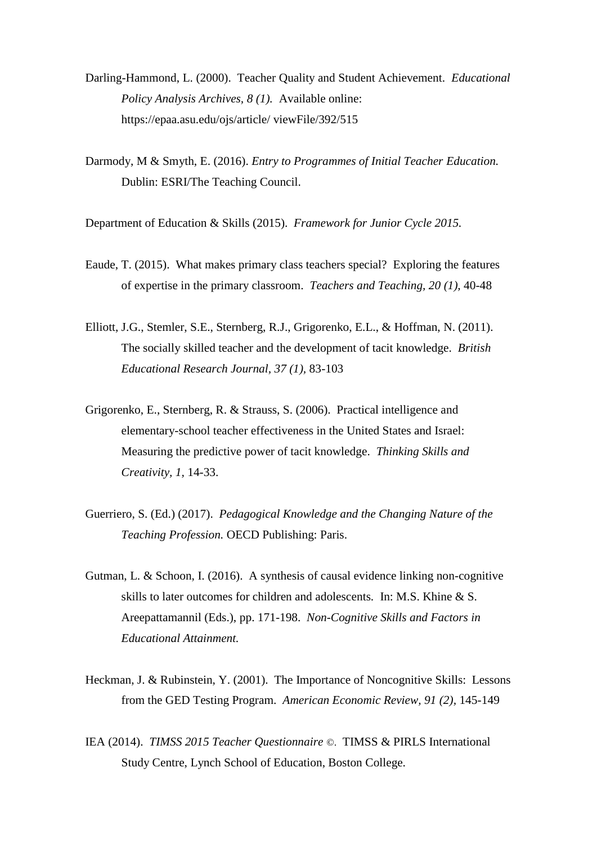- Darling-Hammond, L. (2000). Teacher Quality and Student Achievement. *Educational Policy Analysis Archives, 8 (1).* Available online: https://epaa.asu.edu/ojs/article/ viewFile/392/515
- Darmody, M & Smyth, E. (2016). *Entry to Programmes of Initial Teacher Education.* Dublin: ESRI/The Teaching Council.

Department of Education & Skills (2015). *Framework for Junior Cycle 2015.*

- Eaude, T. (2015). What makes primary class teachers special? Exploring the features of expertise in the primary classroom. *Teachers and Teaching, 20 (1),* 40-48
- Elliott, J.G., Stemler, S.E., Sternberg, R.J., Grigorenko, E.L., & Hoffman, N. (2011). The socially skilled teacher and the development of tacit knowledge. *British Educational Research Journal, 37 (1),* 83-103
- Grigorenko, E., Sternberg, R. & Strauss, S. (2006). Practical intelligence and elementary-school teacher effectiveness in the United States and Israel: Measuring the predictive power of tacit knowledge. *Thinking Skills and Creativity, 1,* 14-33.
- Guerriero, S. (Ed.) (2017). *Pedagogical Knowledge and the Changing Nature of the Teaching Profession.* OECD Publishing: Paris.
- Gutman, L. & Schoon, I. (2016). A synthesis of causal evidence linking non-cognitive skills to later outcomes for children and adolescents*.* In: M.S. Khine & S. Areepattamannil (Eds.), pp. 171-198. *Non-Cognitive Skills and Factors in Educational Attainment.*
- Heckman, J. & Rubinstein, Y. (2001). The Importance of Noncognitive Skills: Lessons from the GED Testing Program. *American Economic Review, 91 (2),* 145-149
- IEA (2014). *TIMSS 2015 Teacher Questionnaire* ©.TIMSS & PIRLS International Study Centre, Lynch School of Education, Boston College.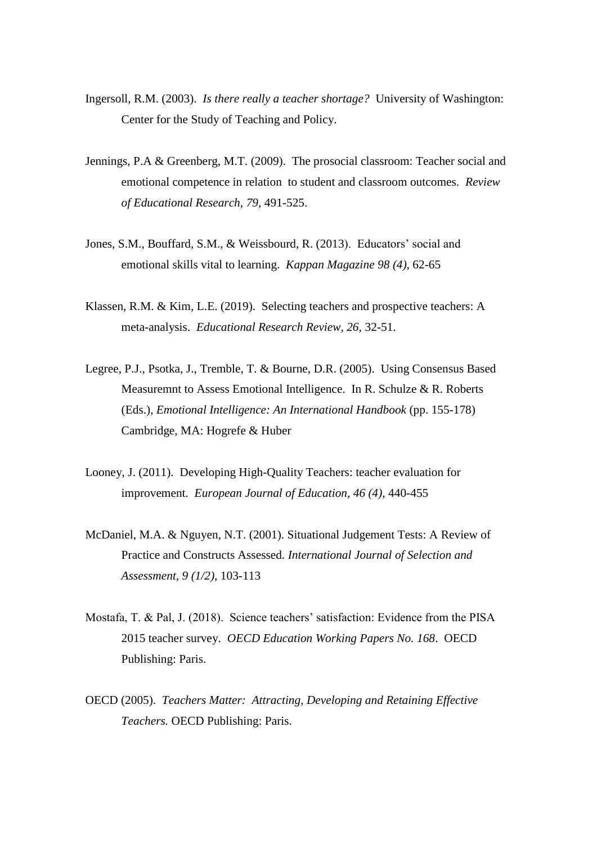- Ingersoll, R.M. (2003). *Is there really a teacher shortage?* University of Washington: Center for the Study of Teaching and Policy.
- Jennings, P.A & Greenberg, M.T. (2009). The prosocial classroom: Teacher social and emotional competence in relation to student and classroom outcomes. *Review of Educational Research, 79,* 491-525.
- Jones, S.M., Bouffard, S.M., & Weissbourd, R. (2013). Educators' social and emotional skills vital to learning. *Kappan Magazine 98 (4),* 62-65
- Klassen, R.M. & Kim, L.E. (2019). Selecting teachers and prospective teachers: A meta-analysis. *Educational Research Review, 26,* 32-51.
- Legree, P.J., Psotka, J., Tremble, T. & Bourne, D.R. (2005). Using Consensus Based Measuremnt to Assess Emotional Intelligence. In R. Schulze & R. Roberts (Eds.), *Emotional Intelligence: An International Handbook* (pp. 155-178) Cambridge, MA: Hogrefe & Huber
- Looney, J. (2011). Developing High-Quality Teachers: teacher evaluation for improvement. *European Journal of Education, 46 (4),* 440-455
- McDaniel, M.A. & Nguyen, N.T. (2001). Situational Judgement Tests: A Review of Practice and Constructs Assessed. *International Journal of Selection and Assessment, 9 (1/2),* 103-113
- Mostafa, T. & Pal, J. (2018). Science teachers' satisfaction: Evidence from the PISA 2015 teacher survey. *OECD Education Working Papers No. 168*. OECD Publishing: Paris.
- OECD (2005). *Teachers Matter: Attracting, Developing and Retaining Effective Teachers.* OECD Publishing: Paris.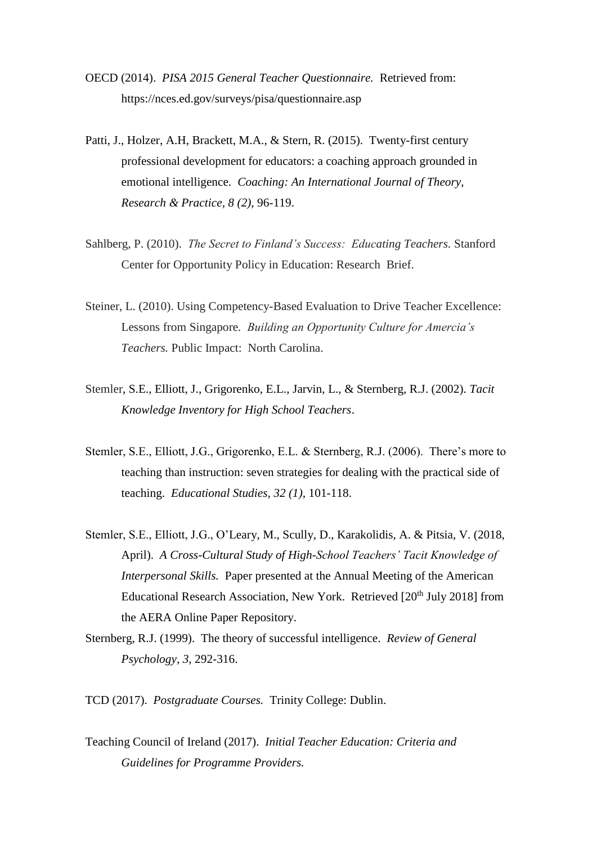- OECD (2014). *PISA 2015 General Teacher Questionnaire.* Retrieved from: [https://nces.ed.](https://nces.ed/)gov/surveys/pisa/questionnaire.asp
- Patti, J., Holzer, A.H., Brackett, M.A., & Stern, R. (2015). Twenty-first century professional development for educators: a coaching approach grounded in emotional intelligence. *Coaching: An International Journal of Theory, Research & Practice, 8 (2)*, 96-119.
- Sahlberg, P. (2010). *The Secret to Finland's Success: Educating Teachers.* Stanford Center for Opportunity Policy in Education: Research Brief.
- Steiner, L. (2010). Using Competency-Based Evaluation to Drive Teacher Excellence: Lessons from Singapore*. Building an Opportunity Culture for Amercia's Teachers.* Public Impact: North Carolina.
- Stemler, S.E., Elliott, J., Grigorenko, E.L., Jarvin, L., & Sternberg, R.J. (2002). *Tacit Knowledge Inventory for High School Teachers*.
- Stemler, S.E., Elliott, J.G., Grigorenko, E.L. & Sternberg, R.J. (2006). There's more to teaching than instruction: seven strategies for dealing with the practical side of teaching. *Educational Studies, 32 (1),* 101-118.
- Stemler, S.E., Elliott, J.G., O'Leary, M., Scully, D., Karakolidis, A. & Pitsia, V. (2018, April). *A Cross-Cultural Study of High-School Teachers' Tacit Knowledge of Interpersonal Skills.* Paper presented at the Annual Meeting of the American Educational Research Association, New York. Retrieved [20<sup>th</sup> July 2018] from the AERA Online Paper Repository.
- Sternberg, R.J. (1999). The theory of successful intelligence. *Review of General Psychology, 3,* 292-316.

TCD (2017). *Postgraduate Courses.* Trinity College: Dublin.

Teaching Council of Ireland (2017). *Initial Teacher Education: Criteria and Guidelines for Programme Providers.*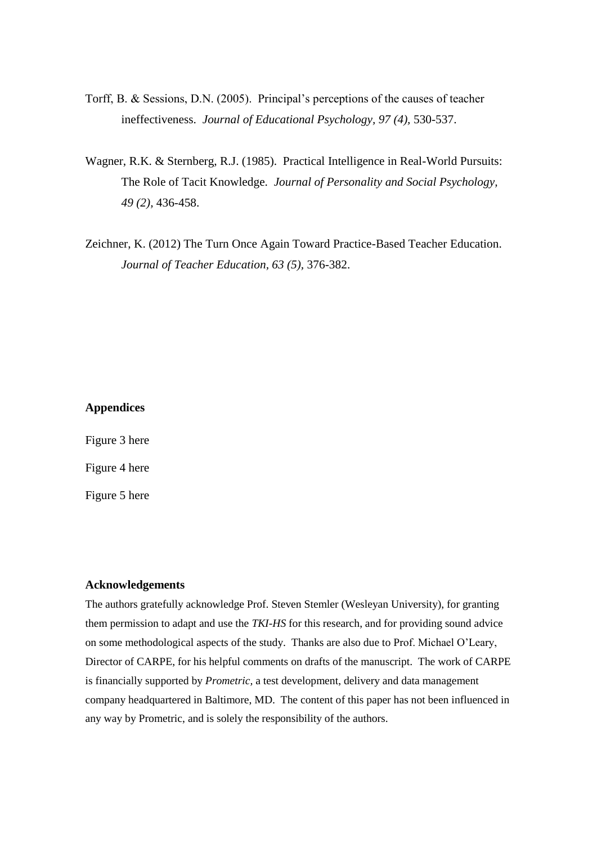- Torff, B. & Sessions, D.N. (2005). Principal's perceptions of the causes of teacher ineffectiveness. *Journal of Educational Psychology, 97 (4),* 530-537.
- Wagner, R.K. & Sternberg, R.J. (1985). Practical Intelligence in Real-World Pursuits: The Role of Tacit Knowledge. *Journal of Personality and Social Psychology, 49 (2),* 436-458.
- Zeichner, K. (2012) The Turn Once Again Toward Practice-Based Teacher Education. *Journal of Teacher Education, 63 (5),* 376-382.

# **Appendices**

Figure 3 here Figure 4 here Figure 5 here

#### **Acknowledgements**

The authors gratefully acknowledge Prof. Steven Stemler (Wesleyan University), for granting them permission to adapt and use the *TKI-HS* for this research, and for providing sound advice on some methodological aspects of the study. Thanks are also due to Prof. Michael O'Leary, Director of CARPE, for his helpful comments on drafts of the manuscript. The work of CARPE is financially supported by *Prometric,* a test development, delivery and data management company headquartered in Baltimore, MD. The content of this paper has not been influenced in any way by Prometric, and is solely the responsibility of the authors.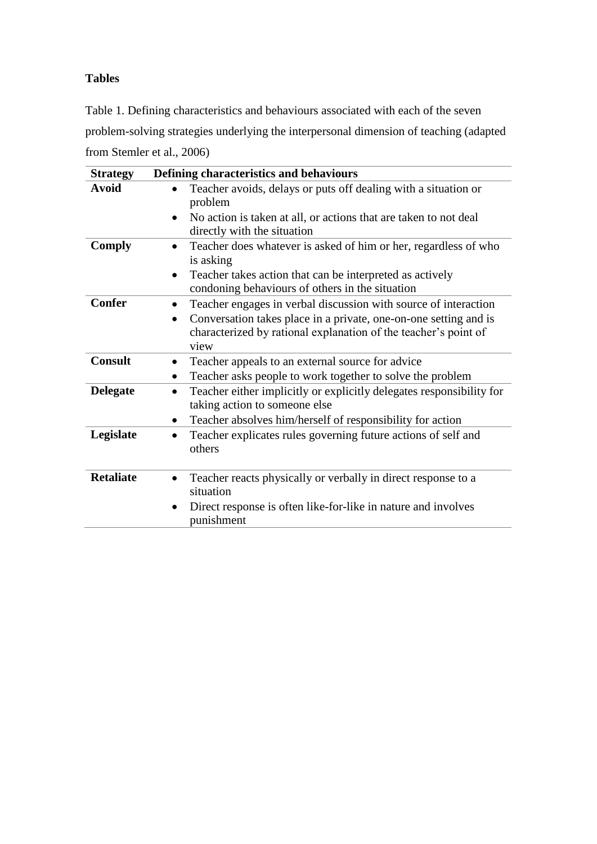# **Tables**

Table 1. Defining characteristics and behaviours associated with each of the seven problem-solving strategies underlying the interpersonal dimension of teaching (adapted from Stemler et al., 2006)

| <b>Strategy</b>  | Defining characteristics and behaviours                                                                            |
|------------------|--------------------------------------------------------------------------------------------------------------------|
| <b>Avoid</b>     | Teacher avoids, delays or puts off dealing with a situation or<br>problem                                          |
|                  | No action is taken at all, or actions that are taken to not deal<br>$\bullet$<br>directly with the situation       |
| <b>Comply</b>    | Teacher does whatever is asked of him or her, regardless of who<br>$\bullet$<br>is asking                          |
|                  | Teacher takes action that can be interpreted as actively<br>$\bullet$                                              |
|                  | condoning behaviours of others in the situation                                                                    |
| <b>Confer</b>    | Teacher engages in verbal discussion with source of interaction<br>$\bullet$                                       |
|                  | Conversation takes place in a private, one-on-one setting and is<br>$\bullet$                                      |
|                  | characterized by rational explanation of the teacher's point of                                                    |
|                  | view                                                                                                               |
| <b>Consult</b>   | Teacher appeals to an external source for advice<br>$\bullet$                                                      |
|                  | Teacher asks people to work together to solve the problem<br>$\bullet$                                             |
| <b>Delegate</b>  | Teacher either implicitly or explicitly delegates responsibility for<br>$\bullet$<br>taking action to someone else |
|                  | Teacher absolves him/herself of responsibility for action<br>$\bullet$                                             |
| Legislate        | Teacher explicates rules governing future actions of self and<br>$\bullet$<br>others                               |
| <b>Retaliate</b> | Teacher reacts physically or verbally in direct response to a<br>$\bullet$                                         |
|                  | situation                                                                                                          |
|                  | Direct response is often like-for-like in nature and involves<br>$\bullet$<br>punishment                           |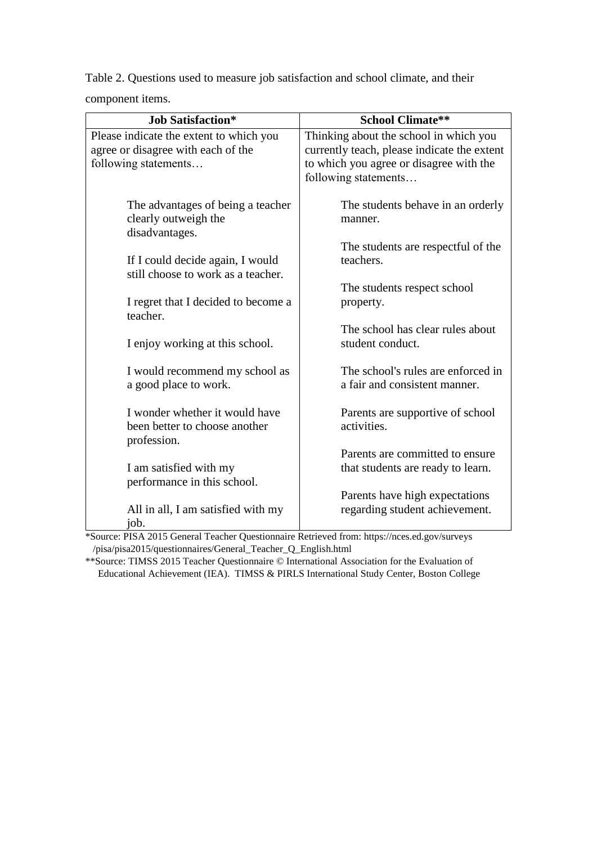Table 2. Questions used to measure job satisfaction and school climate, and their component items.

| <b>Job Satisfaction*</b>                | <b>School Climate**</b>                     |
|-----------------------------------------|---------------------------------------------|
| Please indicate the extent to which you | Thinking about the school in which you      |
| agree or disagree with each of the      | currently teach, please indicate the extent |
| following statements                    | to which you agree or disagree with the     |
|                                         | following statements                        |
|                                         |                                             |
| The advantages of being a teacher       | The students behave in an orderly           |
| clearly outweigh the                    | manner.                                     |
| disadvantages.                          |                                             |
|                                         | The students are respectful of the          |
| If I could decide again, I would        | teachers.                                   |
| still choose to work as a teacher.      |                                             |
|                                         | The students respect school                 |
| I regret that I decided to become a     | property.                                   |
| teacher.                                |                                             |
|                                         | The school has clear rules about            |
| I enjoy working at this school.         | student conduct.                            |
|                                         |                                             |
| I would recommend my school as          | The school's rules are enforced in          |
| a good place to work.                   | a fair and consistent manner.               |
|                                         |                                             |
| I wonder whether it would have          | Parents are supportive of school            |
| been better to choose another           | activities.                                 |
| profession.                             |                                             |
|                                         | Parents are committed to ensure             |
| I am satisfied with my                  | that students are ready to learn.           |
| performance in this school.             |                                             |
|                                         | Parents have high expectations              |
| All in all, I am satisfied with my      | regarding student achievement.              |
| job.                                    |                                             |

\*Source: PISA 2015 General Teacher Questionnaire Retrieved from: https://nces.ed.gov/surveys /pisa/pisa2015/questionnaires/General\_Teacher\_Q\_English.html

\*\*Source: TIMSS 2015 Teacher Questionnaire © International Association for the Evaluation of Educational Achievement (IEA). TIMSS & PIRLS International Study Center, Boston College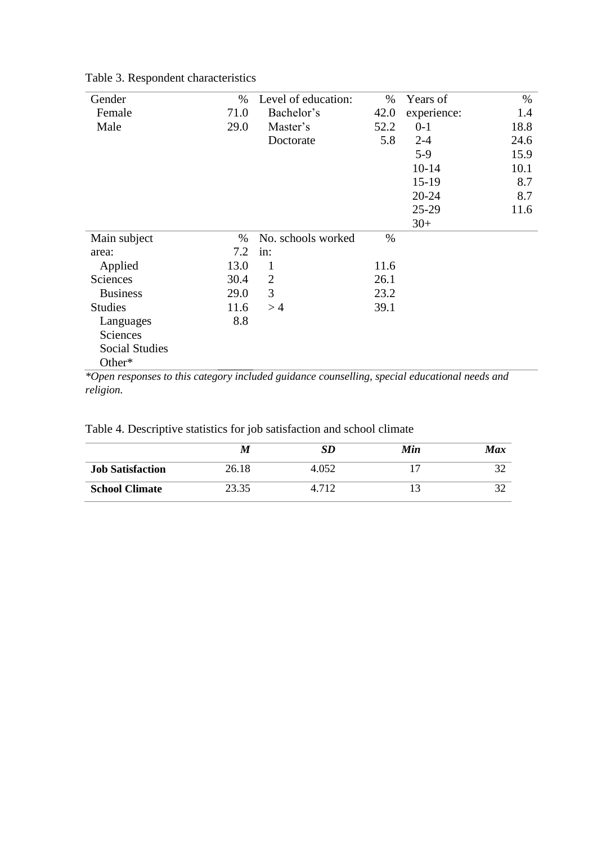| Gender                                                                                        | %    | Level of education: | %    | Years of    | $\%$ |
|-----------------------------------------------------------------------------------------------|------|---------------------|------|-------------|------|
| Female                                                                                        | 71.0 | Bachelor's          | 42.0 | experience: | 1.4  |
| Male                                                                                          | 29.0 | Master's            | 52.2 | $0-1$       | 18.8 |
|                                                                                               |      | Doctorate           | 5.8  | $2 - 4$     | 24.6 |
|                                                                                               |      |                     |      | $5-9$       | 15.9 |
|                                                                                               |      |                     |      | $10 - 14$   | 10.1 |
|                                                                                               |      |                     |      | $15-19$     | 8.7  |
|                                                                                               |      |                     |      | $20 - 24$   | 8.7  |
|                                                                                               |      |                     |      | 25-29       | 11.6 |
|                                                                                               |      |                     |      | $30+$       |      |
| Main subject                                                                                  | $\%$ | No. schools worked  | $\%$ |             |      |
| area:                                                                                         | 7.2  | in:                 |      |             |      |
| Applied                                                                                       | 13.0 | 1                   | 11.6 |             |      |
| Sciences                                                                                      | 30.4 | $\overline{2}$      | 26.1 |             |      |
| <b>Business</b>                                                                               | 29.0 | 3                   | 23.2 |             |      |
| <b>Studies</b>                                                                                | 11.6 | >4                  | 39.1 |             |      |
| Languages                                                                                     | 8.8  |                     |      |             |      |
| Sciences                                                                                      |      |                     |      |             |      |
| <b>Social Studies</b>                                                                         |      |                     |      |             |      |
| Other*                                                                                        |      |                     |      |             |      |
| *Open responses to this category included guidance counselling, special educational needs and |      |                     |      |             |      |

# Table 3. Respondent characteristics

*\*Open responses to this category included guidance counselling, special educational needs and religion.*

|                         | M     | SD    | Min | Max |
|-------------------------|-------|-------|-----|-----|
| <b>Job Satisfaction</b> | 26.18 | 4.052 |     |     |
| <b>School Climate</b>   | 23.35 | 4.712 |     |     |

Table 4. Descriptive statistics for job satisfaction and school climate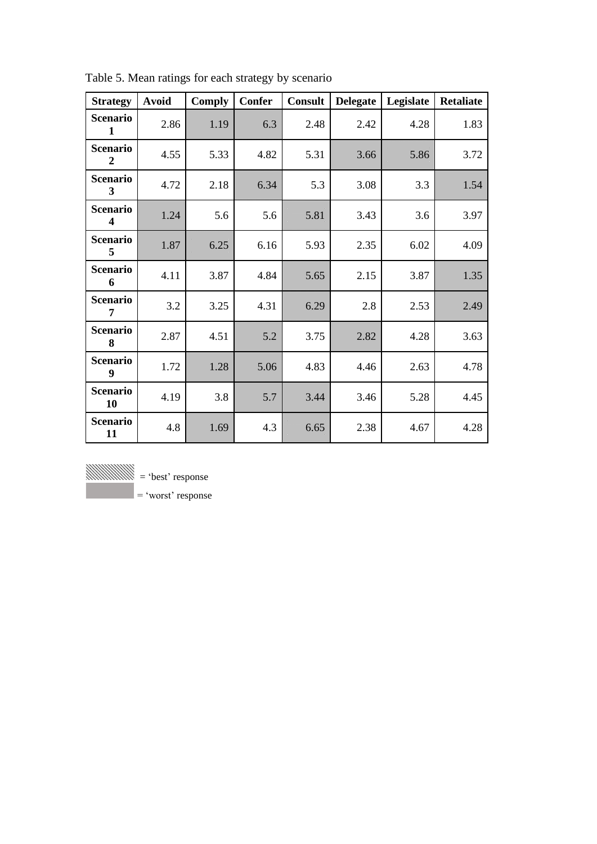| <b>Strategy</b>                            | <b>Avoid</b> | <b>Comply</b> | <b>Confer</b> | <b>Consult</b> | <b>Delegate</b> | Legislate | <b>Retaliate</b> |
|--------------------------------------------|--------------|---------------|---------------|----------------|-----------------|-----------|------------------|
| <b>Scenario</b><br>$\mathbf{1}$            | 2.86         | 1.19          | 63            | 2.48           | 2.42            | 4.28      | 1.83             |
| <b>Scenario</b><br>$\overline{2}$          | 4.55         | 5.33          | 4.82          | 5.31           | 3.66            | 5.86      | 3.72             |
| <b>Scenario</b><br>3                       | 4.72         | 2.18          | 6.34          | 5.3            | 3.08            | 3.3       | 1.54             |
| <b>Scenario</b><br>$\overline{\mathbf{4}}$ | 1.24         | 5.6           | 5.6           | 5.81           | 3.43            | 3.6       | 3.97             |
| <b>Scenario</b><br>5                       | 1.87         | 6.25          | 6.16          | 5.93           | 2.35            | 6.02      | 4.09             |
| <b>Scenario</b><br>6                       | 4.11         | 3.87          | 4.84          | 5.65           | 2.15            | 3.87      | 1.35             |
| <b>Scenario</b><br>7                       | 3.2          | 3.25          | 4.31          | 6.29           | 2.8             | 2.53      | 2.49             |
| <b>Scenario</b><br>8                       | 2.87         | 4.51          | 52            | 3.75           | 2.82            | 4.28      | 3.63             |
| <b>Scenario</b><br>9                       | 1.72         | 1.28          | 506           | 4.83           | 4.46            | 2.63      | 4.78             |
| <b>Scenario</b><br>10                      | 4.19         | 3.8           | 57            | 3.44           | 3.46            | 5.28      | 4.45             |
| <b>Scenario</b><br>11                      | 4.8          | 1.69          | 4.3           | 6.65           | 2.38            | 4.67      | 4.28             |

Table 5. Mean ratings for each strategy by scenario



 $=$  'worst' response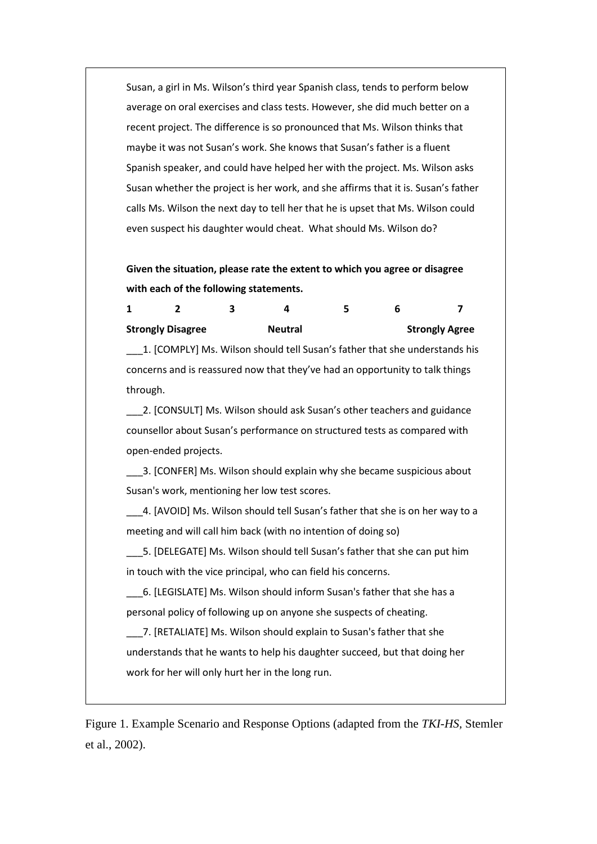Susan, a girl in Ms. Wilson's third year Spanish class, tends to perform below average on oral exercises and class tests. However, she did much better on a recent project. The difference is so pronounced that Ms. Wilson thinks that maybe it was not Susan's work. She knows that Susan's father is a fluent Spanish speaker, and could have helped her with the project. Ms. Wilson asks Susan whether the project is her work, and she affirms that it is. Susan's father calls Ms. Wilson the next day to tell her that he is upset that Ms. Wilson could even suspect his daughter would cheat. What should Ms. Wilson do?

# **Given the situation, please rate the extent to which you agree or disagree with each of the following statements.**

|                          | ર |                                                                            | 5 | n |                       |
|--------------------------|---|----------------------------------------------------------------------------|---|---|-----------------------|
| <b>Strongly Disagree</b> |   | <b>Neutral</b>                                                             |   |   | <b>Strongly Agree</b> |
|                          |   | 1. [COMPLY] Ms. Wilson should tell Susan's father that she understands his |   |   |                       |

concerns and is reassured now that they've had an opportunity to talk things through.

2. [CONSULT] Ms. Wilson should ask Susan's other teachers and guidance counsellor about Susan's performance on structured tests as compared with open-ended projects.

\_\_\_3. [CONFER] Ms. Wilson should explain why she became suspicious about Susan's work, mentioning her low test scores.

\_\_\_4. [AVOID] Ms. Wilson should tell Susan's father that she is on her way to a meeting and will call him back (with no intention of doing so)

\_\_\_5. [DELEGATE] Ms. Wilson should tell Susan's father that she can put him in touch with the vice principal, who can field his concerns.

\_\_\_6. [LEGISLATE] Ms. Wilson should inform Susan's father that she has a personal policy of following up on anyone she suspects of cheating.

\_\_\_7. [RETALIATE] Ms. Wilson should explain to Susan's father that she understands that he wants to help his daughter succeed, but that doing her work for her will only hurt her in the long run.

Figure 1. Example Scenario and Response Options (adapted from the *TKI-HS,* Stemler et al., 2002).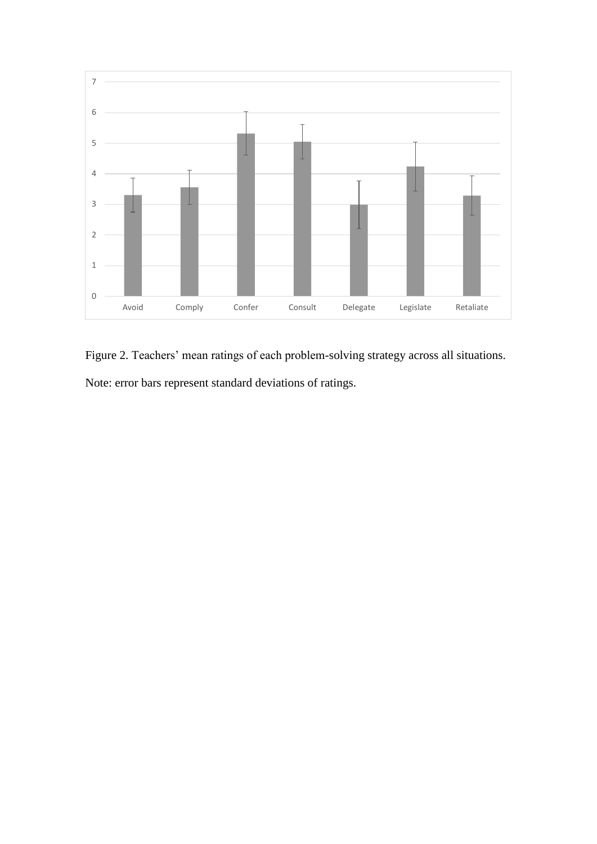

Figure 2. Teachers' mean ratings of each problem-solving strategy across all situations. Note: error bars represent standard deviations of ratings.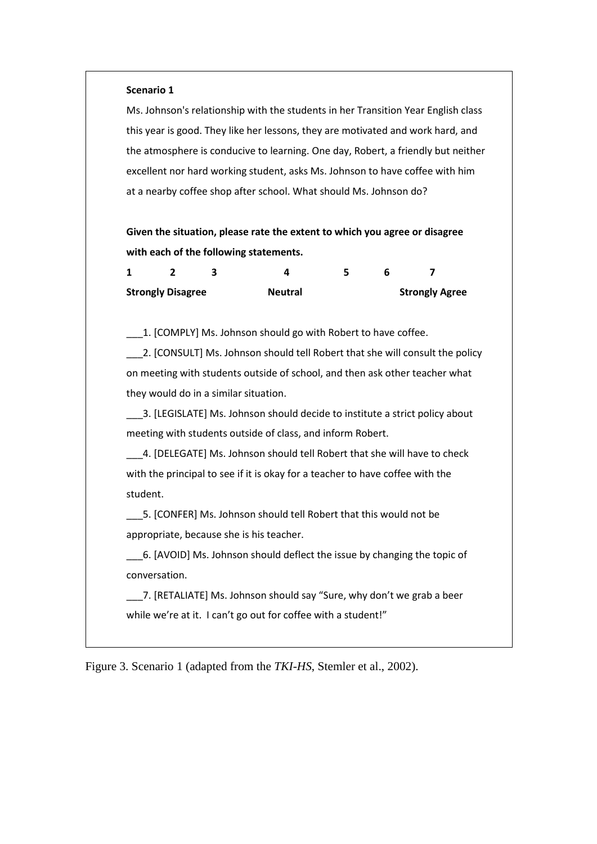#### **Scenario 1**

Ms. Johnson's relationship with the students in her Transition Year English class this year is good. They like her lessons, they are motivated and work hard, and the atmosphere is conducive to learning. One day, Robert, a friendly but neither excellent nor hard working student, asks Ms. Johnson to have coffee with him at a nearby coffee shop after school. What should Ms. Johnson do?

**Given the situation, please rate the extent to which you agree or disagree with each of the following statements.**

| <b>Strongly Disagree</b> |  | <b>Neutral</b> |  | <b>Strongly Agree</b> |
|--------------------------|--|----------------|--|-----------------------|

\_\_\_1. [COMPLY] Ms. Johnson should go with Robert to have coffee.

\_\_\_2. [CONSULT] Ms. Johnson should tell Robert that she will consult the policy on meeting with students outside of school, and then ask other teacher what they would do in a similar situation.

\_\_\_3. [LEGISLATE] Ms. Johnson should decide to institute a strict policy about meeting with students outside of class, and inform Robert.

\_\_\_4. [DELEGATE] Ms. Johnson should tell Robert that she will have to check with the principal to see if it is okay for a teacher to have coffee with the student.

\_\_\_5. [CONFER] Ms. Johnson should tell Robert that this would not be appropriate, because she is his teacher.

\_\_\_6. [AVOID] Ms. Johnson should deflect the issue by changing the topic of conversation.

\_\_\_7. [RETALIATE] Ms. Johnson should say "Sure, why don't we grab a beer while we're at it. I can't go out for coffee with a student!"

Figure 3. Scenario 1 (adapted from the *TKI-HS*, Stemler et al., 2002).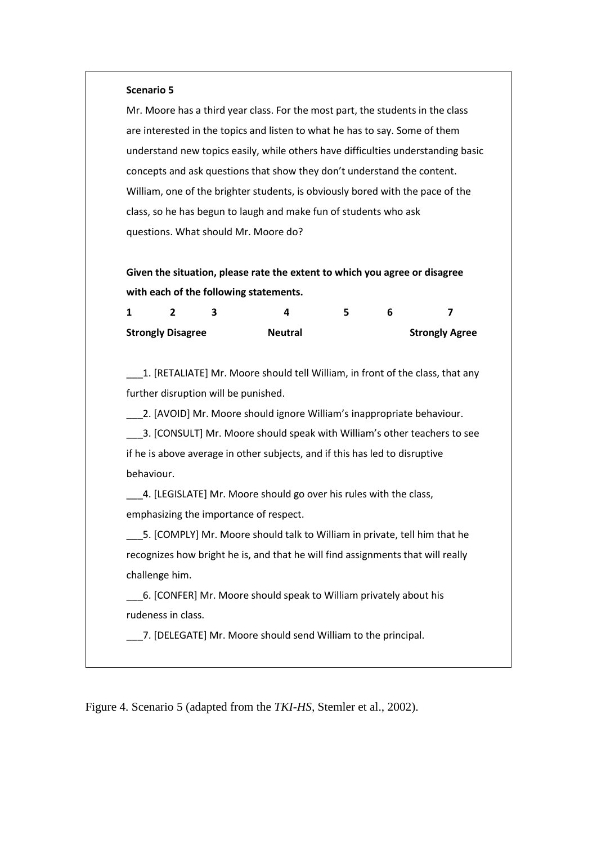#### **Scenario 5**

Mr. Moore has a third year class. For the most part, the students in the class are interested in the topics and listen to what he has to say. Some of them understand new topics easily, while others have difficulties understanding basic concepts and ask questions that show they don't understand the content. William, one of the brighter students, is obviously bored with the pace of the class, so he has begun to laugh and make fun of students who ask questions. What should Mr. Moore do?

**Given the situation, please rate the extent to which you agree or disagree with each of the following statements.**

| <b>Strongly Disagree</b> |  | <b>Neutral</b> | <b>Strongly Agree</b> |  |  |
|--------------------------|--|----------------|-----------------------|--|--|

\_\_\_1. [RETALIATE] Mr. Moore should tell William, in front of the class, that any further disruption will be punished.

\_\_\_2. [AVOID] Mr. Moore should ignore William's inappropriate behaviour.

\_\_\_3. [CONSULT] Mr. Moore should speak with William's other teachers to see if he is above average in other subjects, and if this has led to disruptive behaviour.

4. [LEGISLATE] Mr. Moore should go over his rules with the class, emphasizing the importance of respect.

\_\_\_5. [COMPLY] Mr. Moore should talk to William in private, tell him that he recognizes how bright he is, and that he will find assignments that will really challenge him.

\_\_\_6. [CONFER] Mr. Moore should speak to William privately about his rudeness in class.

7. [DELEGATE] Mr. Moore should send William to the principal.

Figure 4. Scenario 5 (adapted from the *TKI-HS,* Stemler et al., 2002).